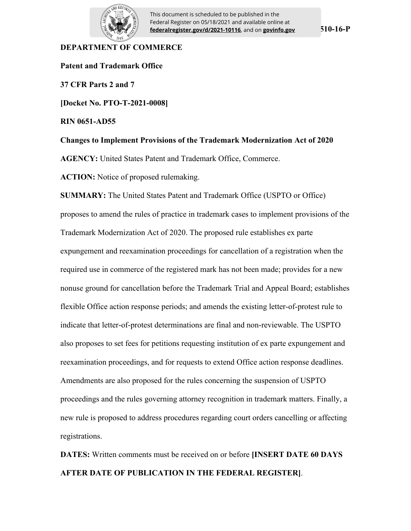

This document is scheduled to be published in the Federal Register on 05/18/2021 and available online at **federalregister.gov/d/2021-10116**, and on **govinfo.gov**

### **DEPARTMENT OF COMMERCE**

**Patent and Trademark Office 37 CFR Parts 2 and 7 [Docket No. PTO-T-2021-0008] RIN 0651-AD55 Changes to Implement Provisions of the Trademark Modernization Act of 2020 AGENCY:** United States Patent and Trademark Office, Commerce. **ACTION:** Notice of proposed rulemaking. **SUMMARY:** The United States Patent and Trademark Office (USPTO or Office) proposes to amend the rules of practice in trademark cases to implement provisions of the Trademark Modernization Act of 2020. The proposed rule establishes ex parte expungement and reexamination proceedings for cancellation of a registration when the required use in commerce of the registered mark has not been made; provides for a new nonuse ground for cancellation before the Trademark Trial and Appeal Board; establishes flexible Office action response periods; and amends the existing letter-of-protest rule to indicate that letter-of-protest determinations are final and non-reviewable. The USPTO also proposes to set fees for petitions requesting institution of ex parte expungement and reexamination proceedings, and for requests to extend Office action response deadlines. Amendments are also proposed for the rules concerning the suspension of USPTO

proceedings and the rules governing attorney recognition in trademark matters. Finally, a new rule is proposed to address procedures regarding court orders cancelling or affecting registrations.

**DATES:** Written comments must be received on or before **[INSERT DATE 60 DAYS AFTER DATE OF PUBLICATION IN THE FEDERAL REGISTER]**.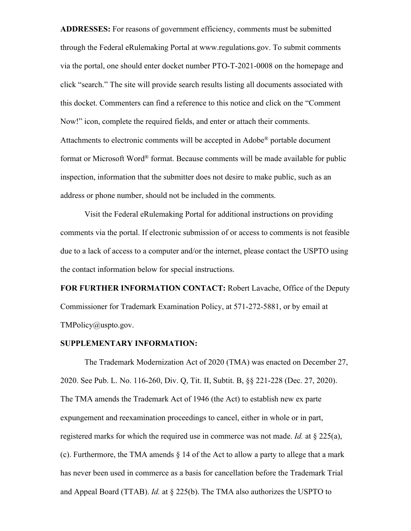**ADDRESSES:** For reasons of government efficiency, comments must be submitted through the Federal eRulemaking Portal at www.regulations.gov. To submit comments via the portal, one should enter docket number PTO-T-2021-0008 on the homepage and click "search." The site will provide search results listing all documents associated with this docket. Commenters can find a reference to this notice and click on the "Comment Now!" icon, complete the required fields, and enter or attach their comments. Attachments to electronic comments will be accepted in Adobe® portable document format or Microsoft Word® format. Because comments will be made available for public inspection, information that the submitter does not desire to make public, such as an address or phone number, should not be included in the comments.

Visit the Federal eRulemaking Portal for additional instructions on providing comments via the portal. If electronic submission of or access to comments is not feasible due to a lack of access to a computer and/or the internet, please contact the USPTO using the contact information below for special instructions.

**FOR FURTHER INFORMATION CONTACT:** Robert Lavache, Office of the Deputy Commissioner for Trademark Examination Policy, at 571-272-5881, or by email at TMPolicy@uspto.gov.

### **SUPPLEMENTARY INFORMATION:**

The Trademark Modernization Act of 2020 (TMA) was enacted on December 27, 2020. See Pub. L. No. 116-260, Div. Q, Tit. II, Subtit. B, §§ 221-228 (Dec. 27, 2020). The TMA amends the Trademark Act of 1946 (the Act) to establish new ex parte expungement and reexamination proceedings to cancel, either in whole or in part, registered marks for which the required use in commerce was not made. *Id.* at § 225(a), (c). Furthermore, the TMA amends § 14 of the Act to allow a party to allege that a mark has never been used in commerce as a basis for cancellation before the Trademark Trial and Appeal Board (TTAB). *Id.* at § 225(b). The TMA also authorizes the USPTO to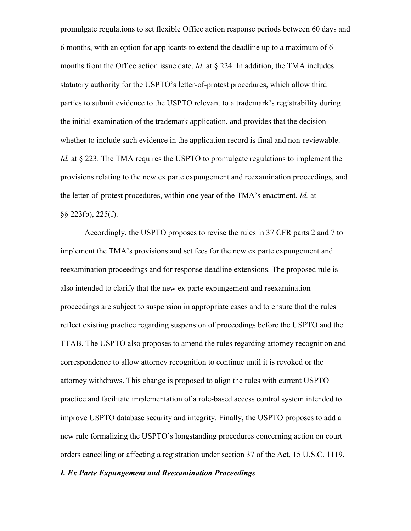promulgate regulations to set flexible Office action response periods between 60 days and 6 months, with an option for applicants to extend the deadline up to a maximum of 6 months from the Office action issue date. *Id.* at § 224. In addition, the TMA includes statutory authority for the USPTO's letter-of-protest procedures, which allow third parties to submit evidence to the USPTO relevant to a trademark's registrability during the initial examination of the trademark application, and provides that the decision whether to include such evidence in the application record is final and non-reviewable. *Id.* at § 223. The TMA requires the USPTO to promulgate regulations to implement the provisions relating to the new ex parte expungement and reexamination proceedings, and the letter-of-protest procedures, within one year of the TMA's enactment. *Id.* at §§ 223(b), 225(f).

Accordingly, the USPTO proposes to revise the rules in 37 CFR parts 2 and 7 to implement the TMA's provisions and set fees for the new ex parte expungement and reexamination proceedings and for response deadline extensions. The proposed rule is also intended to clarify that the new ex parte expungement and reexamination proceedings are subject to suspension in appropriate cases and to ensure that the rules reflect existing practice regarding suspension of proceedings before the USPTO and the TTAB. The USPTO also proposes to amend the rules regarding attorney recognition and correspondence to allow attorney recognition to continue until it is revoked or the attorney withdraws. This change is proposed to align the rules with current USPTO practice and facilitate implementation of a role-based access control system intended to improve USPTO database security and integrity. Finally, the USPTO proposes to add a new rule formalizing the USPTO's longstanding procedures concerning action on court orders cancelling or affecting a registration under section 37 of the Act, 15 U.S.C. 1119.

### *I. Ex Parte Expungement and Reexamination Proceedings*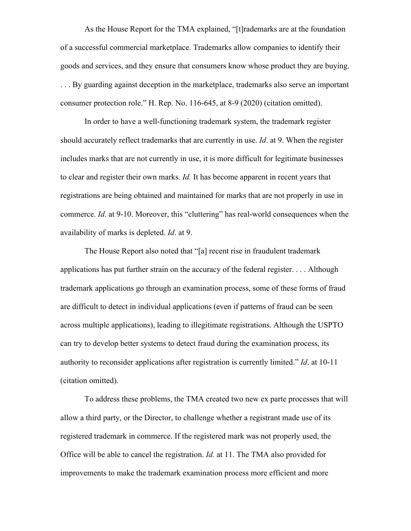As the House Report for the TMA explained, "[t]rademarks are at the foundation of a successful commercial marketplace. Trademarks allow companies to identify their goods and services, and they ensure that consumers know whose product they are buying. . . . By guarding against deception in the marketplace, trademarks also serve an important consumer protection role." H. Rep. No. 116-645, at 8-9 (2020) (citation omitted).

In order to have a well-functioning trademark system, the trademark register should accurately reflect trademarks that are currently in use. *Id*. at 9. When the register includes marks that are not currently in use, it is more difficult for legitimate businesses to clear and register their own marks. *Id.* It has become apparent in recent years that registrations are being obtained and maintained for marks that are not properly in use in commerce. *Id*. at 9-10. Moreover, this "cluttering" has real-world consequences when the availability of marks is depleted. *Id*. at 9.

The House Report also noted that "[a] recent rise in fraudulent trademark applications has put further strain on the accuracy of the federal register. . . . Although trademark applications go through an examination process, some of these forms of fraud are difficult to detect in individual applications (even if patterns of fraud can be seen across multiple applications), leading to illegitimate registrations. Although the USPTO can try to develop better systems to detect fraud during the examination process, its authority to reconsider applications after registration is currently limited." *Id*. at 10-11 (citation omitted).

To address these problems, the TMA created two new ex parte processes that will allow a third party, or the Director, to challenge whether a registrant made use of its registered trademark in commerce. If the registered mark was not properly used, the Office will be able to cancel the registration. *Id.* at 11. The TMA also provided for improvements to make the trademark examination process more efficient and more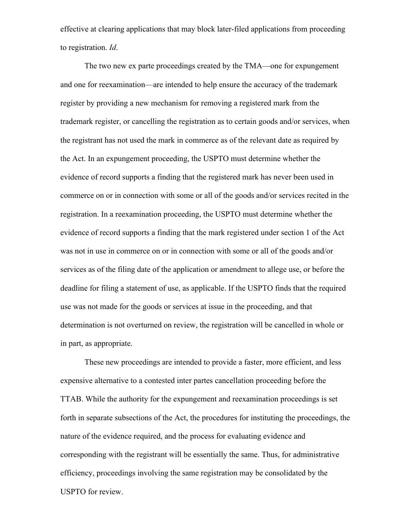effective at clearing applications that may block later-filed applications from proceeding to registration. *Id*.

The two new ex parte proceedings created by the TMA—one for expungement and one for reexamination—are intended to help ensure the accuracy of the trademark register by providing a new mechanism for removing a registered mark from the trademark register, or cancelling the registration as to certain goods and/or services, when the registrant has not used the mark in commerce as of the relevant date as required by the Act. In an expungement proceeding, the USPTO must determine whether the evidence of record supports a finding that the registered mark has never been used in commerce on or in connection with some or all of the goods and/or services recited in the registration. In a reexamination proceeding, the USPTO must determine whether the evidence of record supports a finding that the mark registered under section 1 of the Act was not in use in commerce on or in connection with some or all of the goods and/or services as of the filing date of the application or amendment to allege use, or before the deadline for filing a statement of use, as applicable. If the USPTO finds that the required use was not made for the goods or services at issue in the proceeding, and that determination is not overturned on review, the registration will be cancelled in whole or in part, as appropriate.

These new proceedings are intended to provide a faster, more efficient, and less expensive alternative to a contested inter partes cancellation proceeding before the TTAB. While the authority for the expungement and reexamination proceedings is set forth in separate subsections of the Act, the procedures for instituting the proceedings, the nature of the evidence required, and the process for evaluating evidence and corresponding with the registrant will be essentially the same. Thus, for administrative efficiency, proceedings involving the same registration may be consolidated by the USPTO for review.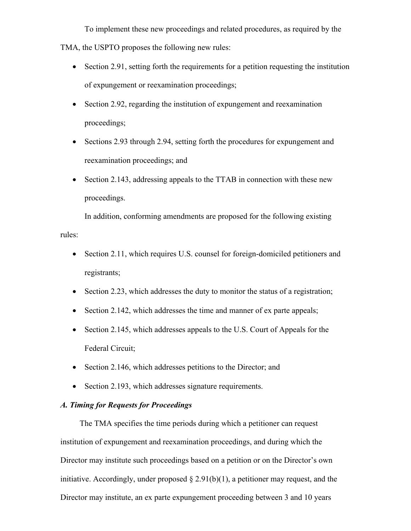To implement these new proceedings and related procedures, as required by the TMA, the USPTO proposes the following new rules:

- Section 2.91, setting forth the requirements for a petition requesting the institution of expungement or reexamination proceedings;
- Section 2.92, regarding the institution of expungement and reexamination proceedings;
- Sections 2.93 through 2.94, setting forth the procedures for expungement and reexamination proceedings; and
- Section 2.143, addressing appeals to the TTAB in connection with these new proceedings.

In addition, conforming amendments are proposed for the following existing rules:

- Section 2.11, which requires U.S. counsel for foreign-domiciled petitioners and registrants;
- $\bullet$  Section 2.23, which addresses the duty to monitor the status of a registration;
- Section 2.142, which addresses the time and manner of ex parte appeals;
- Section 2.145, which addresses appeals to the U.S. Court of Appeals for the Federal Circuit;
- Section 2.146, which addresses petitions to the Director; and
- Section 2.193, which addresses signature requirements.

# *A. Timing for Requests for Proceedings*

The TMA specifies the time periods during which a petitioner can request institution of expungement and reexamination proceedings, and during which the Director may institute such proceedings based on a petition or on the Director's own initiative. Accordingly, under proposed  $\S 2.91(b)(1)$ , a petitioner may request, and the Director may institute, an ex parte expungement proceeding between 3 and 10 years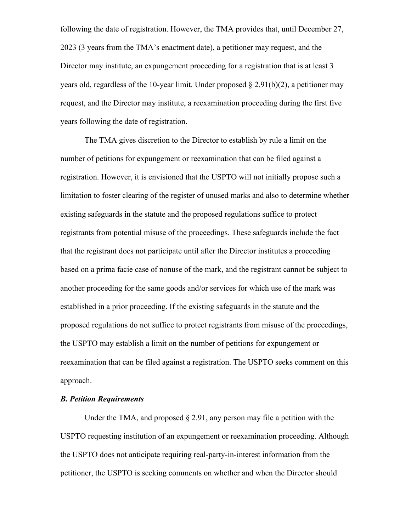following the date of registration. However, the TMA provides that, until December 27, 2023 (3 years from the TMA's enactment date), a petitioner may request, and the Director may institute, an expungement proceeding for a registration that is at least 3 years old, regardless of the 10-year limit. Under proposed  $\S 2.91(b)(2)$ , a petitioner may request, and the Director may institute, a reexamination proceeding during the first five years following the date of registration.

The TMA gives discretion to the Director to establish by rule a limit on the number of petitions for expungement or reexamination that can be filed against a registration. However, it is envisioned that the USPTO will not initially propose such a limitation to foster clearing of the register of unused marks and also to determine whether existing safeguards in the statute and the proposed regulations suffice to protect registrants from potential misuse of the proceedings. These safeguards include the fact that the registrant does not participate until after the Director institutes a proceeding based on a prima facie case of nonuse of the mark, and the registrant cannot be subject to another proceeding for the same goods and/or services for which use of the mark was established in a prior proceeding. If the existing safeguards in the statute and the proposed regulations do not suffice to protect registrants from misuse of the proceedings, the USPTO may establish a limit on the number of petitions for expungement or reexamination that can be filed against a registration. The USPTO seeks comment on this approach.

# *B. Petition Requirements*

Under the TMA, and proposed  $\S 2.91$ , any person may file a petition with the USPTO requesting institution of an expungement or reexamination proceeding. Although the USPTO does not anticipate requiring real-party-in-interest information from the petitioner, the USPTO is seeking comments on whether and when the Director should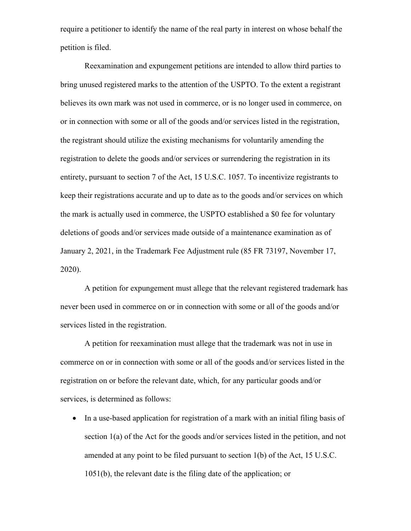require a petitioner to identify the name of the real party in interest on whose behalf the petition is filed.

Reexamination and expungement petitions are intended to allow third parties to bring unused registered marks to the attention of the USPTO. To the extent a registrant believes its own mark was not used in commerce, or is no longer used in commerce, on or in connection with some or all of the goods and/or services listed in the registration, the registrant should utilize the existing mechanisms for voluntarily amending the registration to delete the goods and/or services or surrendering the registration in its entirety, pursuant to section 7 of the Act, 15 U.S.C. 1057. To incentivize registrants to keep their registrations accurate and up to date as to the goods and/or services on which the mark is actually used in commerce, the USPTO established a \$0 fee for voluntary deletions of goods and/or services made outside of a maintenance examination as of January 2, 2021, in the Trademark Fee Adjustment rule (85 FR 73197, November 17, 2020).

A petition for expungement must allege that the relevant registered trademark has never been used in commerce on or in connection with some or all of the goods and/or services listed in the registration.

A petition for reexamination must allege that the trademark was not in use in commerce on or in connection with some or all of the goods and/or services listed in the registration on or before the relevant date, which, for any particular goods and/or services, is determined as follows:

• In a use-based application for registration of a mark with an initial filing basis of section 1(a) of the Act for the goods and/or services listed in the petition, and not amended at any point to be filed pursuant to section 1(b) of the Act, 15 U.S.C. 1051(b), the relevant date is the filing date of the application; or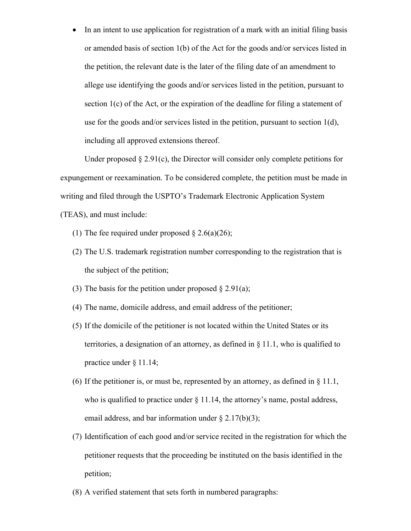• In an intent to use application for registration of a mark with an initial filing basis or amended basis of section 1(b) of the Act for the goods and/or services listed in the petition, the relevant date is the later of the filing date of an amendment to allege use identifying the goods and/or services listed in the petition, pursuant to section 1(c) of the Act, or the expiration of the deadline for filing a statement of use for the goods and/or services listed in the petition, pursuant to section 1(d), including all approved extensions thereof.

Under proposed  $\S 2.91(c)$ , the Director will consider only complete petitions for expungement or reexamination. To be considered complete, the petition must be made in writing and filed through the USPTO's Trademark Electronic Application System (TEAS), and must include:

- (1) The fee required under proposed  $\S 2.6(a)(26)$ ;
- (2) The U.S. trademark registration number corresponding to the registration that is the subject of the petition;
- (3) The basis for the petition under proposed  $\S 2.91(a)$ ;
- (4) The name, domicile address, and email address of the petitioner;
- (5) If the domicile of the petitioner is not located within the United States or its territories, a designation of an attorney, as defined in § 11.1, who is qualified to practice under § 11.14;
- (6) If the petitioner is, or must be, represented by an attorney, as defined in § 11.1, who is qualified to practice under  $\S$  11.14, the attorney's name, postal address, email address, and bar information under  $\S 2.17(b)(3)$ ;
- (7) Identification of each good and/or service recited in the registration for which the petitioner requests that the proceeding be instituted on the basis identified in the petition;
- (8) A verified statement that sets forth in numbered paragraphs: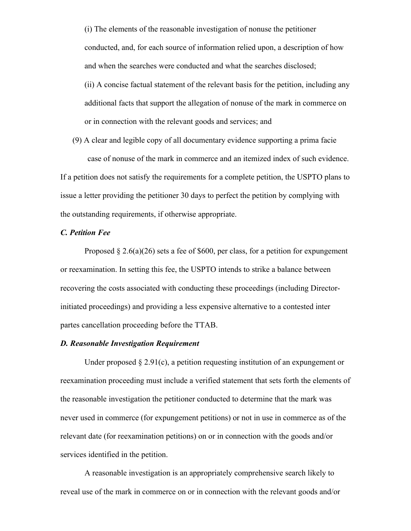(i) The elements of the reasonable investigation of nonuse the petitioner conducted, and, for each source of information relied upon, a description of how and when the searches were conducted and what the searches disclosed; (ii) A concise factual statement of the relevant basis for the petition, including any additional facts that support the allegation of nonuse of the mark in commerce on

or in connection with the relevant goods and services; and

(9) A clear and legible copy of all documentary evidence supporting a prima facie case of nonuse of the mark in commerce and an itemized index of such evidence. If a petition does not satisfy the requirements for a complete petition, the USPTO plans to issue a letter providing the petitioner 30 days to perfect the petition by complying with the outstanding requirements, if otherwise appropriate.

# *C. Petition Fee*

Proposed  $\S 2.6(a)(26)$  sets a fee of \$600, per class, for a petition for expungement or reexamination. In setting this fee, the USPTO intends to strike a balance between recovering the costs associated with conducting these proceedings (including Directorinitiated proceedings) and providing a less expensive alternative to a contested inter partes cancellation proceeding before the TTAB.

#### *D. Reasonable Investigation Requirement*

Under proposed  $\S 2.91(c)$ , a petition requesting institution of an expungement or reexamination proceeding must include a verified statement that sets forth the elements of the reasonable investigation the petitioner conducted to determine that the mark was never used in commerce (for expungement petitions) or not in use in commerce as of the relevant date (for reexamination petitions) on or in connection with the goods and/or services identified in the petition.

A reasonable investigation is an appropriately comprehensive search likely to reveal use of the mark in commerce on or in connection with the relevant goods and/or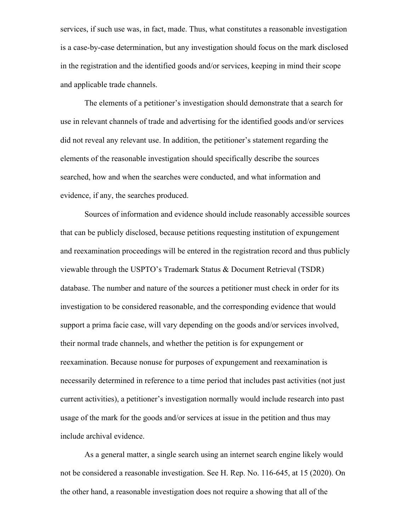services, if such use was, in fact, made. Thus, what constitutes a reasonable investigation is a case-by-case determination, but any investigation should focus on the mark disclosed in the registration and the identified goods and/or services, keeping in mind their scope and applicable trade channels.

The elements of a petitioner's investigation should demonstrate that a search for use in relevant channels of trade and advertising for the identified goods and/or services did not reveal any relevant use. In addition, the petitioner's statement regarding the elements of the reasonable investigation should specifically describe the sources searched, how and when the searches were conducted, and what information and evidence, if any, the searches produced.

Sources of information and evidence should include reasonably accessible sources that can be publicly disclosed, because petitions requesting institution of expungement and reexamination proceedings will be entered in the registration record and thus publicly viewable through the USPTO's Trademark Status & Document Retrieval (TSDR) database. The number and nature of the sources a petitioner must check in order for its investigation to be considered reasonable, and the corresponding evidence that would support a prima facie case, will vary depending on the goods and/or services involved, their normal trade channels, and whether the petition is for expungement or reexamination. Because nonuse for purposes of expungement and reexamination is necessarily determined in reference to a time period that includes past activities (not just current activities), a petitioner's investigation normally would include research into past usage of the mark for the goods and/or services at issue in the petition and thus may include archival evidence.

As a general matter, a single search using an internet search engine likely would not be considered a reasonable investigation. See H. Rep. No. 116-645, at 15 (2020). On the other hand, a reasonable investigation does not require a showing that all of the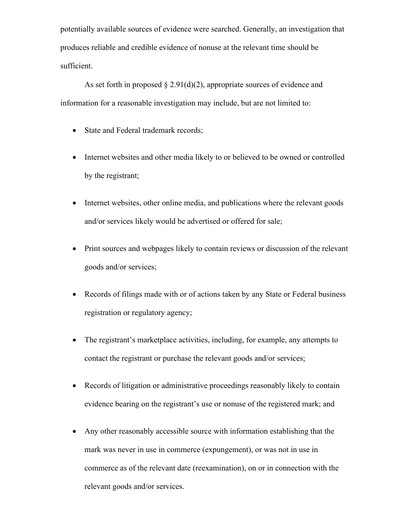potentially available sources of evidence were searched. Generally, an investigation that produces reliable and credible evidence of nonuse at the relevant time should be sufficient.

As set forth in proposed  $\S 2.91(d)(2)$ , appropriate sources of evidence and information for a reasonable investigation may include, but are not limited to:

- State and Federal trademark records;
- Internet websites and other media likely to or believed to be owned or controlled by the registrant;
- Internet websites, other online media, and publications where the relevant goods and/or services likely would be advertised or offered for sale;
- Print sources and webpages likely to contain reviews or discussion of the relevant goods and/or services;
- Records of filings made with or of actions taken by any State or Federal business registration or regulatory agency;
- The registrant's marketplace activities, including, for example, any attempts to contact the registrant or purchase the relevant goods and/or services;
- Records of litigation or administrative proceedings reasonably likely to contain evidence bearing on the registrant's use or nonuse of the registered mark; and
- Any other reasonably accessible source with information establishing that the mark was never in use in commerce (expungement), or was not in use in commerce as of the relevant date (reexamination), on or in connection with the relevant goods and/or services.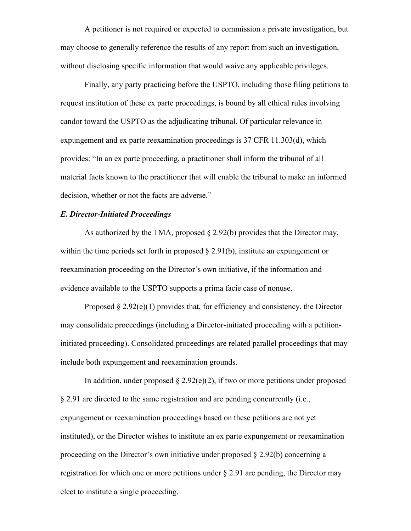A petitioner is not required or expected to commission a private investigation, but may choose to generally reference the results of any report from such an investigation, without disclosing specific information that would waive any applicable privileges.

Finally, any party practicing before the USPTO, including those filing petitions to request institution of these ex parte proceedings, is bound by all ethical rules involving candor toward the USPTO as the adjudicating tribunal. Of particular relevance in expungement and ex parte reexamination proceedings is 37 CFR 11.303(d), which provides: "In an ex parte proceeding, a practitioner shall inform the tribunal of all material facts known to the practitioner that will enable the tribunal to make an informed decision, whether or not the facts are adverse."

#### *E. Director-Initiated Proceedings*

As authorized by the TMA, proposed  $\S 2.92(b)$  provides that the Director may, within the time periods set forth in proposed  $\S 2.91(b)$ , institute an expungement or reexamination proceeding on the Director's own initiative, if the information and evidence available to the USPTO supports a prima facie case of nonuse.

Proposed  $\S 2.92(e)(1)$  provides that, for efficiency and consistency, the Director may consolidate proceedings (including a Director-initiated proceeding with a petitioninitiated proceeding). Consolidated proceedings are related parallel proceedings that may include both expungement and reexamination grounds.

In addition, under proposed  $\S 2.92(e)(2)$ , if two or more petitions under proposed § 2.91 are directed to the same registration and are pending concurrently (i.e., expungement or reexamination proceedings based on these petitions are not yet instituted), or the Director wishes to institute an ex parte expungement or reexamination proceeding on the Director's own initiative under proposed  $\S 2.92(b)$  concerning a registration for which one or more petitions under  $\S 2.91$  are pending, the Director may elect to institute a single proceeding.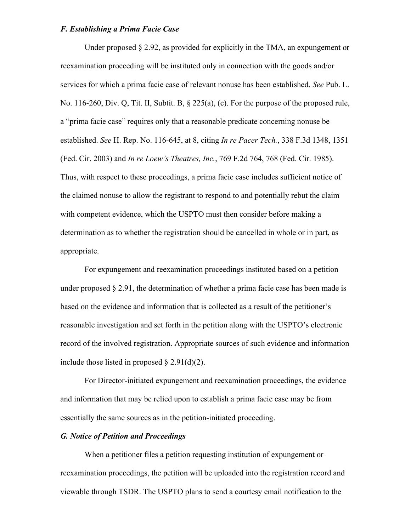### *F. Establishing a Prima Facie Case*

Under proposed  $\S 2.92$ , as provided for explicitly in the TMA, an expungement or reexamination proceeding will be instituted only in connection with the goods and/or services for which a prima facie case of relevant nonuse has been established. *See* Pub. L. No. 116-260, Div. Q, Tit. II, Subtit. B, § 225(a), (c). For the purpose of the proposed rule, a "prima facie case" requires only that a reasonable predicate concerning nonuse be established. *See* H. Rep. No. 116-645, at 8, citing *In re Pacer Tech.*, 338 F.3d 1348, 1351 (Fed. Cir. 2003) and *In re Loew's Theatres, Inc.*, 769 F.2d 764, 768 (Fed. Cir. 1985). Thus, with respect to these proceedings, a prima facie case includes sufficient notice of the claimed nonuse to allow the registrant to respond to and potentially rebut the claim with competent evidence, which the USPTO must then consider before making a determination as to whether the registration should be cancelled in whole or in part, as appropriate.

For expungement and reexamination proceedings instituted based on a petition under proposed  $\S 2.91$ , the determination of whether a prima facie case has been made is based on the evidence and information that is collected as a result of the petitioner's reasonable investigation and set forth in the petition along with the USPTO's electronic record of the involved registration. Appropriate sources of such evidence and information include those listed in proposed  $\S 2.91(d)(2)$ .

For Director-initiated expungement and reexamination proceedings, the evidence and information that may be relied upon to establish a prima facie case may be from essentially the same sources as in the petition-initiated proceeding.

### *G. Notice of Petition and Proceedings*

When a petitioner files a petition requesting institution of expungement or reexamination proceedings, the petition will be uploaded into the registration record and viewable through TSDR. The USPTO plans to send a courtesy email notification to the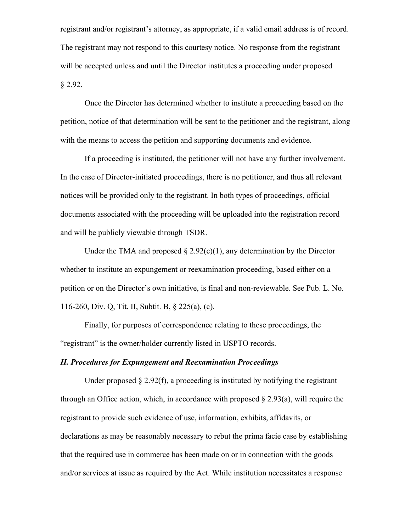registrant and/or registrant's attorney, as appropriate, if a valid email address is of record. The registrant may not respond to this courtesy notice. No response from the registrant will be accepted unless and until the Director institutes a proceeding under proposed § 2.92.

Once the Director has determined whether to institute a proceeding based on the petition, notice of that determination will be sent to the petitioner and the registrant, along with the means to access the petition and supporting documents and evidence.

If a proceeding is instituted, the petitioner will not have any further involvement. In the case of Director-initiated proceedings, there is no petitioner, and thus all relevant notices will be provided only to the registrant. In both types of proceedings, official documents associated with the proceeding will be uploaded into the registration record and will be publicly viewable through TSDR.

Under the TMA and proposed  $\S 2.92(c)(1)$ , any determination by the Director whether to institute an expungement or reexamination proceeding, based either on a petition or on the Director's own initiative, is final and non-reviewable. See Pub. L. No. 116-260, Div. Q, Tit. II, Subtit. B, § 225(a), (c).

Finally, for purposes of correspondence relating to these proceedings, the "registrant" is the owner/holder currently listed in USPTO records.

#### *H. Procedures for Expungement and Reexamination Proceedings*

Under proposed  $\S 2.92(f)$ , a proceeding is instituted by notifying the registrant through an Office action, which, in accordance with proposed  $\S 2.93(a)$ , will require the registrant to provide such evidence of use, information, exhibits, affidavits, or declarations as may be reasonably necessary to rebut the prima facie case by establishing that the required use in commerce has been made on or in connection with the goods and/or services at issue as required by the Act. While institution necessitates a response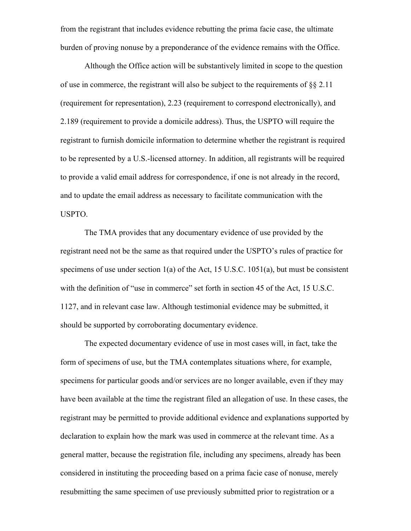from the registrant that includes evidence rebutting the prima facie case, the ultimate burden of proving nonuse by a preponderance of the evidence remains with the Office.

Although the Office action will be substantively limited in scope to the question of use in commerce, the registrant will also be subject to the requirements of  $\S$ § 2.11 (requirement for representation), 2.23 (requirement to correspond electronically), and 2.189 (requirement to provide a domicile address). Thus, the USPTO will require the registrant to furnish domicile information to determine whether the registrant is required to be represented by a U.S.-licensed attorney. In addition, all registrants will be required to provide a valid email address for correspondence, if one is not already in the record, and to update the email address as necessary to facilitate communication with the USPTO.

The TMA provides that any documentary evidence of use provided by the registrant need not be the same as that required under the USPTO's rules of practice for specimens of use under section 1(a) of the Act, 15 U.S.C. 1051(a), but must be consistent with the definition of "use in commerce" set forth in section 45 of the Act, 15 U.S.C. 1127, and in relevant case law. Although testimonial evidence may be submitted, it should be supported by corroborating documentary evidence.

The expected documentary evidence of use in most cases will, in fact, take the form of specimens of use, but the TMA contemplates situations where, for example, specimens for particular goods and/or services are no longer available, even if they may have been available at the time the registrant filed an allegation of use. In these cases, the registrant may be permitted to provide additional evidence and explanations supported by declaration to explain how the mark was used in commerce at the relevant time. As a general matter, because the registration file, including any specimens, already has been considered in instituting the proceeding based on a prima facie case of nonuse, merely resubmitting the same specimen of use previously submitted prior to registration or a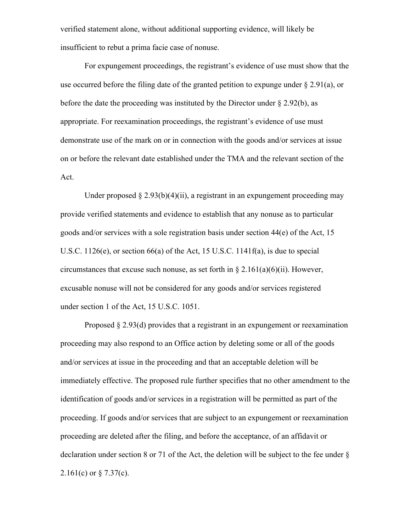verified statement alone, without additional supporting evidence, will likely be insufficient to rebut a prima facie case of nonuse.

For expungement proceedings, the registrant's evidence of use must show that the use occurred before the filing date of the granted petition to expunge under  $\S 2.91(a)$ , or before the date the proceeding was instituted by the Director under § 2.92(b), as appropriate. For reexamination proceedings, the registrant's evidence of use must demonstrate use of the mark on or in connection with the goods and/or services at issue on or before the relevant date established under the TMA and the relevant section of the Act.

Under proposed  $\S 2.93(b)(4)(ii)$ , a registrant in an expungement proceeding may provide verified statements and evidence to establish that any nonuse as to particular goods and/or services with a sole registration basis under section 44(e) of the Act, 15 U.S.C. 1126(e), or section 66(a) of the Act, 15 U.S.C. 1141f(a), is due to special circumstances that excuse such nonuse, as set forth in  $\S 2.161(a)(6)(ii)$ . However, excusable nonuse will not be considered for any goods and/or services registered under section 1 of the Act, 15 U.S.C. 1051.

Proposed § 2.93(d) provides that a registrant in an expungement or reexamination proceeding may also respond to an Office action by deleting some or all of the goods and/or services at issue in the proceeding and that an acceptable deletion will be immediately effective. The proposed rule further specifies that no other amendment to the identification of goods and/or services in a registration will be permitted as part of the proceeding. If goods and/or services that are subject to an expungement or reexamination proceeding are deleted after the filing, and before the acceptance, of an affidavit or declaration under section 8 or 71 of the Act, the deletion will be subject to the fee under §  $2.161(c)$  or § 7.37(c).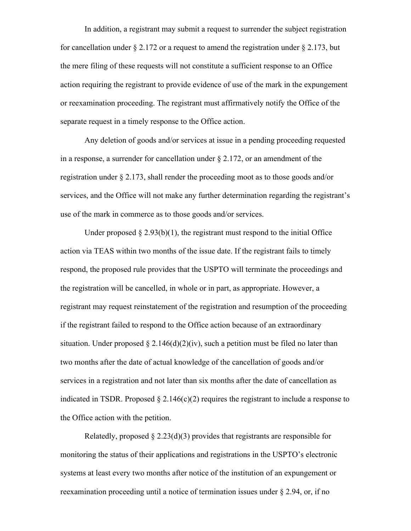In addition, a registrant may submit a request to surrender the subject registration for cancellation under  $\S 2.172$  or a request to amend the registration under  $\S 2.173$ , but the mere filing of these requests will not constitute a sufficient response to an Office action requiring the registrant to provide evidence of use of the mark in the expungement or reexamination proceeding. The registrant must affirmatively notify the Office of the separate request in a timely response to the Office action.

Any deletion of goods and/or services at issue in a pending proceeding requested in a response, a surrender for cancellation under  $\S 2.172$ , or an amendment of the registration under § 2.173, shall render the proceeding moot as to those goods and/or services, and the Office will not make any further determination regarding the registrant's use of the mark in commerce as to those goods and/or services.

Under proposed  $\S 2.93(b)(1)$ , the registrant must respond to the initial Office action via TEAS within two months of the issue date. If the registrant fails to timely respond, the proposed rule provides that the USPTO will terminate the proceedings and the registration will be cancelled, in whole or in part, as appropriate. However, a registrant may request reinstatement of the registration and resumption of the proceeding if the registrant failed to respond to the Office action because of an extraordinary situation. Under proposed  $\S 2.146(d)(2)(iv)$ , such a petition must be filed no later than two months after the date of actual knowledge of the cancellation of goods and/or services in a registration and not later than six months after the date of cancellation as indicated in TSDR. Proposed  $\S 2.146(c)(2)$  requires the registrant to include a response to the Office action with the petition.

Relatedly, proposed  $\S 2.23(d)(3)$  provides that registrants are responsible for monitoring the status of their applications and registrations in the USPTO's electronic systems at least every two months after notice of the institution of an expungement or reexamination proceeding until a notice of termination issues under § 2.94, or, if no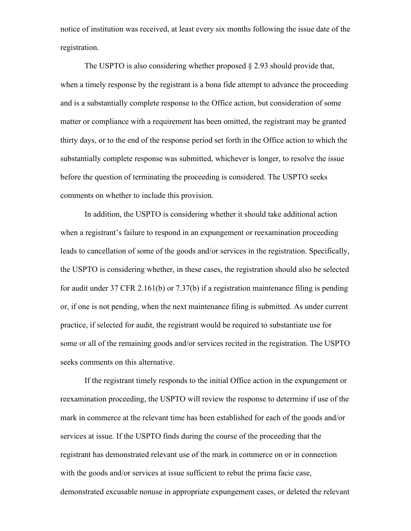notice of institution was received, at least every six months following the issue date of the registration.

The USPTO is also considering whether proposed  $\S 2.93$  should provide that, when a timely response by the registrant is a bona fide attempt to advance the proceeding and is a substantially complete response to the Office action, but consideration of some matter or compliance with a requirement has been omitted, the registrant may be granted thirty days, or to the end of the response period set forth in the Office action to which the substantially complete response was submitted, whichever is longer, to resolve the issue before the question of terminating the proceeding is considered. The USPTO seeks comments on whether to include this provision.

In addition, the USPTO is considering whether it should take additional action when a registrant's failure to respond in an expungement or reexamination proceeding leads to cancellation of some of the goods and/or services in the registration. Specifically, the USPTO is considering whether, in these cases, the registration should also be selected for audit under 37 CFR 2.161(b) or 7.37(b) if a registration maintenance filing is pending or, if one is not pending, when the next maintenance filing is submitted. As under current practice, if selected for audit, the registrant would be required to substantiate use for some or all of the remaining goods and/or services recited in the registration. The USPTO seeks comments on this alternative.

If the registrant timely responds to the initial Office action in the expungement or reexamination proceeding, the USPTO will review the response to determine if use of the mark in commerce at the relevant time has been established for each of the goods and/or services at issue. If the USPTO finds during the course of the proceeding that the registrant has demonstrated relevant use of the mark in commerce on or in connection with the goods and/or services at issue sufficient to rebut the prima facie case, demonstrated excusable nonuse in appropriate expungement cases, or deleted the relevant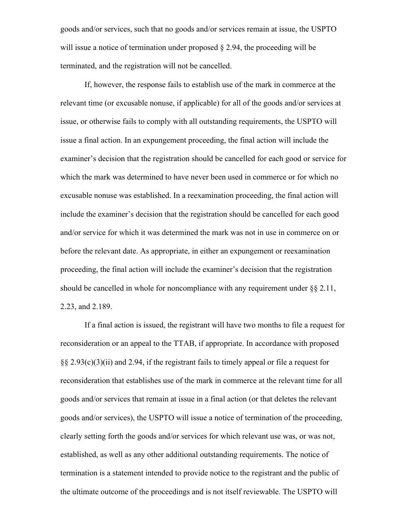goods and/or services, such that no goods and/or services remain at issue, the USPTO will issue a notice of termination under proposed  $\S 2.94$ , the proceeding will be terminated, and the registration will not be cancelled.

If, however, the response fails to establish use of the mark in commerce at the relevant time (or excusable nonuse, if applicable) for all of the goods and/or services at issue, or otherwise fails to comply with all outstanding requirements, the USPTO will issue a final action. In an expungement proceeding, the final action will include the examiner's decision that the registration should be cancelled for each good or service for which the mark was determined to have never been used in commerce or for which no excusable nonuse was established. In a reexamination proceeding, the final action will include the examiner's decision that the registration should be cancelled for each good and/or service for which it was determined the mark was not in use in commerce on or before the relevant date. As appropriate, in either an expungement or reexamination proceeding, the final action will include the examiner's decision that the registration should be cancelled in whole for noncompliance with any requirement under  $\S$ § 2.11, 2.23, and 2.189.

If a final action is issued, the registrant will have two months to file a request for reconsideration or an appeal to the TTAB, if appropriate. In accordance with proposed §§ 2.93(c)(3)(ii) and 2.94, if the registrant fails to timely appeal or file a request for reconsideration that establishes use of the mark in commerce at the relevant time for all goods and/or services that remain at issue in a final action (or that deletes the relevant goods and/or services), the USPTO will issue a notice of termination of the proceeding, clearly setting forth the goods and/or services for which relevant use was, or was not, established, as well as any other additional outstanding requirements. The notice of termination is a statement intended to provide notice to the registrant and the public of the ultimate outcome of the proceedings and is not itself reviewable. The USPTO will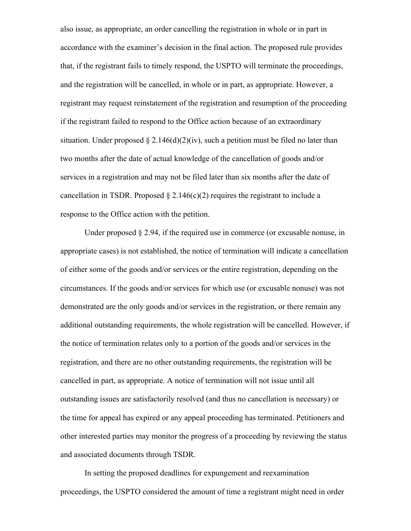also issue, as appropriate, an order cancelling the registration in whole or in part in accordance with the examiner's decision in the final action. The proposed rule provides that, if the registrant fails to timely respond, the USPTO will terminate the proceedings, and the registration will be cancelled, in whole or in part, as appropriate. However, a registrant may request reinstatement of the registration and resumption of the proceeding if the registrant failed to respond to the Office action because of an extraordinary situation. Under proposed  $\S 2.146(d)(2)(iv)$ , such a petition must be filed no later than two months after the date of actual knowledge of the cancellation of goods and/or services in a registration and may not be filed later than six months after the date of cancellation in TSDR. Proposed  $\S 2.146(c)(2)$  requires the registrant to include a response to the Office action with the petition.

Under proposed  $\S 2.94$ , if the required use in commerce (or excusable nonuse, in appropriate cases) is not established, the notice of termination will indicate a cancellation of either some of the goods and/or services or the entire registration, depending on the circumstances. If the goods and/or services for which use (or excusable nonuse) was not demonstrated are the only goods and/or services in the registration, or there remain any additional outstanding requirements, the whole registration will be cancelled. However, if the notice of termination relates only to a portion of the goods and/or services in the registration, and there are no other outstanding requirements, the registration will be cancelled in part, as appropriate. A notice of termination will not issue until all outstanding issues are satisfactorily resolved (and thus no cancellation is necessary) or the time for appeal has expired or any appeal proceeding has terminated. Petitioners and other interested parties may monitor the progress of a proceeding by reviewing the status and associated documents through TSDR.

In setting the proposed deadlines for expungement and reexamination proceedings, the USPTO considered the amount of time a registrant might need in order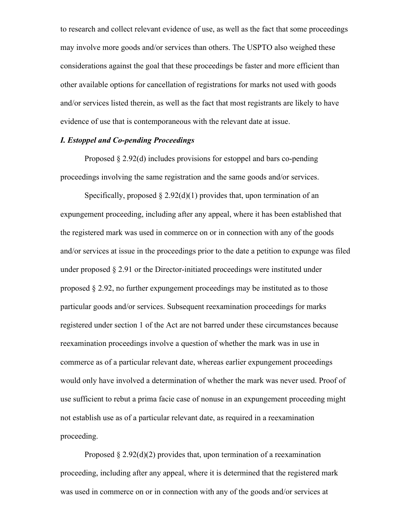to research and collect relevant evidence of use, as well as the fact that some proceedings may involve more goods and/or services than others. The USPTO also weighed these considerations against the goal that these proceedings be faster and more efficient than other available options for cancellation of registrations for marks not used with goods and/or services listed therein, as well as the fact that most registrants are likely to have evidence of use that is contemporaneous with the relevant date at issue.

# *I. Estoppel and Co-pending Proceedings*

Proposed § 2.92(d) includes provisions for estoppel and bars co-pending proceedings involving the same registration and the same goods and/or services.

Specifically, proposed  $\S 2.92(d)(1)$  provides that, upon termination of an expungement proceeding, including after any appeal, where it has been established that the registered mark was used in commerce on or in connection with any of the goods and/or services at issue in the proceedings prior to the date a petition to expunge was filed under proposed  $\S 2.91$  or the Director-initiated proceedings were instituted under proposed § 2.92, no further expungement proceedings may be instituted as to those particular goods and/or services. Subsequent reexamination proceedings for marks registered under section 1 of the Act are not barred under these circumstances because reexamination proceedings involve a question of whether the mark was in use in commerce as of a particular relevant date, whereas earlier expungement proceedings would only have involved a determination of whether the mark was never used. Proof of use sufficient to rebut a prima facie case of nonuse in an expungement proceeding might not establish use as of a particular relevant date, as required in a reexamination proceeding.

Proposed  $\S 2.92(d)(2)$  provides that, upon termination of a reexamination proceeding, including after any appeal, where it is determined that the registered mark was used in commerce on or in connection with any of the goods and/or services at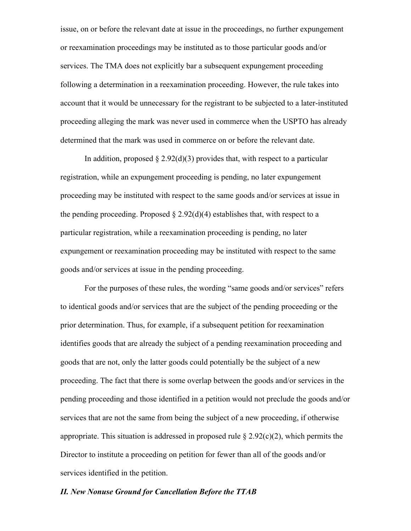issue, on or before the relevant date at issue in the proceedings, no further expungement or reexamination proceedings may be instituted as to those particular goods and/or services. The TMA does not explicitly bar a subsequent expungement proceeding following a determination in a reexamination proceeding. However, the rule takes into account that it would be unnecessary for the registrant to be subjected to a later-instituted proceeding alleging the mark was never used in commerce when the USPTO has already determined that the mark was used in commerce on or before the relevant date.

In addition, proposed  $\S 2.92(d)(3)$  provides that, with respect to a particular registration, while an expungement proceeding is pending, no later expungement proceeding may be instituted with respect to the same goods and/or services at issue in the pending proceeding. Proposed  $\S 2.92(d)(4)$  establishes that, with respect to a particular registration, while a reexamination proceeding is pending, no later expungement or reexamination proceeding may be instituted with respect to the same goods and/or services at issue in the pending proceeding.

For the purposes of these rules, the wording "same goods and/or services" refers to identical goods and/or services that are the subject of the pending proceeding or the prior determination. Thus, for example, if a subsequent petition for reexamination identifies goods that are already the subject of a pending reexamination proceeding and goods that are not, only the latter goods could potentially be the subject of a new proceeding. The fact that there is some overlap between the goods and/or services in the pending proceeding and those identified in a petition would not preclude the goods and/or services that are not the same from being the subject of a new proceeding, if otherwise appropriate. This situation is addressed in proposed rule  $\S 2.92(c)(2)$ , which permits the Director to institute a proceeding on petition for fewer than all of the goods and/or services identified in the petition.

### *II. New Nonuse Ground for Cancellation Before the TTAB*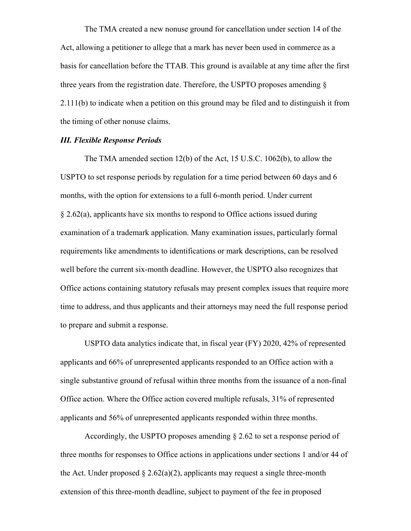The TMA created a new nonuse ground for cancellation under section 14 of the Act, allowing a petitioner to allege that a mark has never been used in commerce as a basis for cancellation before the TTAB. This ground is available at any time after the first three years from the registration date. Therefore, the USPTO proposes amending § 2.111(b) to indicate when a petition on this ground may be filed and to distinguish it from the timing of other nonuse claims.

# *III. Flexible Response Periods*

The TMA amended section 12(b) of the Act, 15 U.S.C. 1062(b), to allow the USPTO to set response periods by regulation for a time period between 60 days and 6 months, with the option for extensions to a full 6-month period. Under current § 2.62(a), applicants have six months to respond to Office actions issued during examination of a trademark application. Many examination issues, particularly formal requirements like amendments to identifications or mark descriptions, can be resolved well before the current six-month deadline. However, the USPTO also recognizes that Office actions containing statutory refusals may present complex issues that require more time to address, and thus applicants and their attorneys may need the full response period to prepare and submit a response.

USPTO data analytics indicate that, in fiscal year (FY) 2020, 42% of represented applicants and 66% of unrepresented applicants responded to an Office action with a single substantive ground of refusal within three months from the issuance of a non-final Office action. Where the Office action covered multiple refusals, 31% of represented applicants and 56% of unrepresented applicants responded within three months.

Accordingly, the USPTO proposes amending § 2.62 to set a response period of three months for responses to Office actions in applications under sections 1 and/or 44 of the Act. Under proposed  $\S 2.62(a)(2)$ , applicants may request a single three-month extension of this three-month deadline, subject to payment of the fee in proposed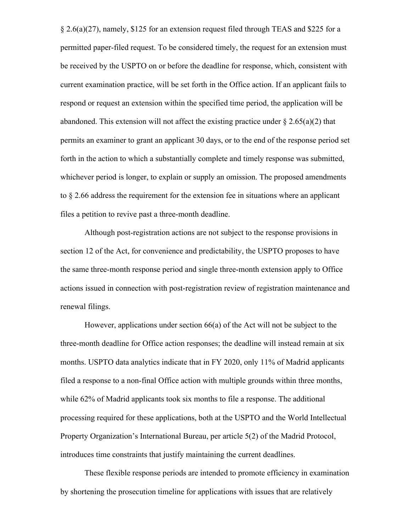§ 2.6(a)(27), namely, \$125 for an extension request filed through TEAS and \$225 for a permitted paper-filed request. To be considered timely, the request for an extension must be received by the USPTO on or before the deadline for response, which, consistent with current examination practice, will be set forth in the Office action. If an applicant fails to respond or request an extension within the specified time period, the application will be abandoned. This extension will not affect the existing practice under  $\S 2.65(a)(2)$  that permits an examiner to grant an applicant 30 days, or to the end of the response period set forth in the action to which a substantially complete and timely response was submitted, whichever period is longer, to explain or supply an omission. The proposed amendments to § 2.66 address the requirement for the extension fee in situations where an applicant files a petition to revive past a three-month deadline.

Although post-registration actions are not subject to the response provisions in section 12 of the Act, for convenience and predictability, the USPTO proposes to have the same three-month response period and single three-month extension apply to Office actions issued in connection with post-registration review of registration maintenance and renewal filings.

However, applications under section 66(a) of the Act will not be subject to the three-month deadline for Office action responses; the deadline will instead remain at six months. USPTO data analytics indicate that in FY 2020, only 11% of Madrid applicants filed a response to a non-final Office action with multiple grounds within three months, while 62% of Madrid applicants took six months to file a response. The additional processing required for these applications, both at the USPTO and the World Intellectual Property Organization's International Bureau, per article 5(2) of the Madrid Protocol, introduces time constraints that justify maintaining the current deadlines.

These flexible response periods are intended to promote efficiency in examination by shortening the prosecution timeline for applications with issues that are relatively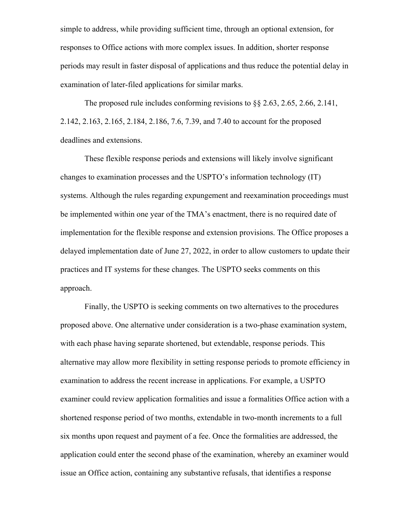simple to address, while providing sufficient time, through an optional extension, for responses to Office actions with more complex issues. In addition, shorter response periods may result in faster disposal of applications and thus reduce the potential delay in examination of later-filed applications for similar marks.

The proposed rule includes conforming revisions to §§ 2.63, 2.65, 2.66, 2.141, 2.142, 2.163, 2.165, 2.184, 2.186, 7.6, 7.39, and 7.40 to account for the proposed deadlines and extensions.

These flexible response periods and extensions will likely involve significant changes to examination processes and the USPTO's information technology (IT) systems. Although the rules regarding expungement and reexamination proceedings must be implemented within one year of the TMA's enactment, there is no required date of implementation for the flexible response and extension provisions. The Office proposes a delayed implementation date of June 27, 2022, in order to allow customers to update their practices and IT systems for these changes. The USPTO seeks comments on this approach.

Finally, the USPTO is seeking comments on two alternatives to the procedures proposed above. One alternative under consideration is a two-phase examination system, with each phase having separate shortened, but extendable, response periods. This alternative may allow more flexibility in setting response periods to promote efficiency in examination to address the recent increase in applications. For example, a USPTO examiner could review application formalities and issue a formalities Office action with a shortened response period of two months, extendable in two-month increments to a full six months upon request and payment of a fee. Once the formalities are addressed, the application could enter the second phase of the examination, whereby an examiner would issue an Office action, containing any substantive refusals, that identifies a response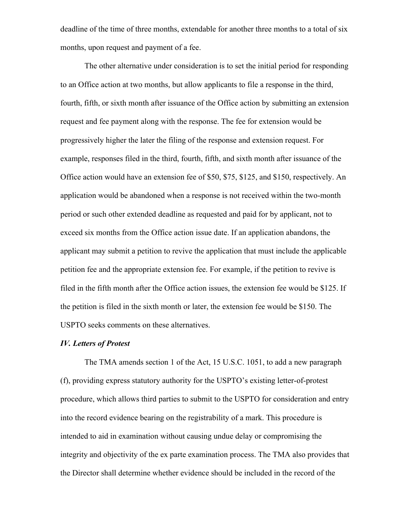deadline of the time of three months, extendable for another three months to a total of six months, upon request and payment of a fee.

The other alternative under consideration is to set the initial period for responding to an Office action at two months, but allow applicants to file a response in the third, fourth, fifth, or sixth month after issuance of the Office action by submitting an extension request and fee payment along with the response. The fee for extension would be progressively higher the later the filing of the response and extension request. For example, responses filed in the third, fourth, fifth, and sixth month after issuance of the Office action would have an extension fee of \$50, \$75, \$125, and \$150, respectively. An application would be abandoned when a response is not received within the two-month period or such other extended deadline as requested and paid for by applicant, not to exceed six months from the Office action issue date. If an application abandons, the applicant may submit a petition to revive the application that must include the applicable petition fee and the appropriate extension fee. For example, if the petition to revive is filed in the fifth month after the Office action issues, the extension fee would be \$125. If the petition is filed in the sixth month or later, the extension fee would be \$150. The USPTO seeks comments on these alternatives.

#### *IV. Letters of Protest*

The TMA amends section 1 of the Act, 15 U.S.C. 1051, to add a new paragraph (f), providing express statutory authority for the USPTO's existing letter-of-protest procedure, which allows third parties to submit to the USPTO for consideration and entry into the record evidence bearing on the registrability of a mark. This procedure is intended to aid in examination without causing undue delay or compromising the integrity and objectivity of the ex parte examination process. The TMA also provides that the Director shall determine whether evidence should be included in the record of the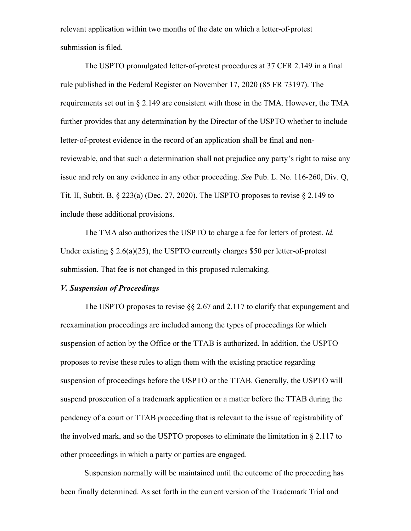relevant application within two months of the date on which a letter-of-protest submission is filed.

The USPTO promulgated letter-of-protest procedures at 37 CFR 2.149 in a final rule published in the Federal Register on November 17, 2020 (85 FR 73197). The requirements set out in § 2.149 are consistent with those in the TMA. However, the TMA further provides that any determination by the Director of the USPTO whether to include letter-of-protest evidence in the record of an application shall be final and nonreviewable, and that such a determination shall not prejudice any party's right to raise any issue and rely on any evidence in any other proceeding. *See* Pub. L. No. 116-260, Div. Q, Tit. II, Subtit. B,  $\S$  223(a) (Dec. 27, 2020). The USPTO proposes to revise  $\S$  2.149 to include these additional provisions.

The TMA also authorizes the USPTO to charge a fee for letters of protest. *Id.*  Under existing  $\S 2.6(a)(25)$ , the USPTO currently charges \$50 per letter-of-protest submission. That fee is not changed in this proposed rulemaking.

# *V. Suspension of Proceedings*

The USPTO proposes to revise §§ 2.67 and 2.117 to clarify that expungement and reexamination proceedings are included among the types of proceedings for which suspension of action by the Office or the TTAB is authorized. In addition, the USPTO proposes to revise these rules to align them with the existing practice regarding suspension of proceedings before the USPTO or the TTAB. Generally, the USPTO will suspend prosecution of a trademark application or a matter before the TTAB during the pendency of a court or TTAB proceeding that is relevant to the issue of registrability of the involved mark, and so the USPTO proposes to eliminate the limitation in § 2.117 to other proceedings in which a party or parties are engaged.

Suspension normally will be maintained until the outcome of the proceeding has been finally determined. As set forth in the current version of the Trademark Trial and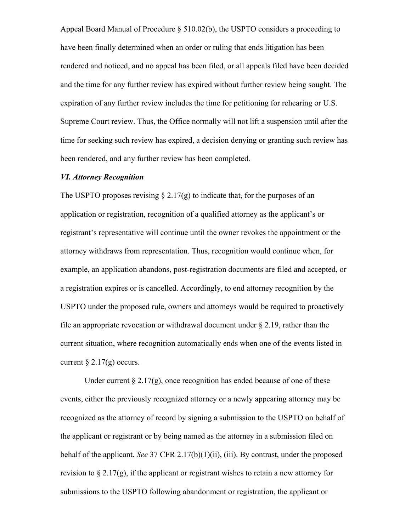Appeal Board Manual of Procedure § 510.02(b), the USPTO considers a proceeding to have been finally determined when an order or ruling that ends litigation has been rendered and noticed, and no appeal has been filed, or all appeals filed have been decided and the time for any further review has expired without further review being sought. The expiration of any further review includes the time for petitioning for rehearing or U.S. Supreme Court review. Thus, the Office normally will not lift a suspension until after the time for seeking such review has expired, a decision denying or granting such review has been rendered, and any further review has been completed.

#### *VI. Attorney Recognition*

The USPTO proposes revising  $\S 2.17(g)$  to indicate that, for the purposes of an application or registration, recognition of a qualified attorney as the applicant's or registrant's representative will continue until the owner revokes the appointment or the attorney withdraws from representation. Thus, recognition would continue when, for example, an application abandons, post-registration documents are filed and accepted, or a registration expires or is cancelled. Accordingly, to end attorney recognition by the USPTO under the proposed rule, owners and attorneys would be required to proactively file an appropriate revocation or withdrawal document under  $\S 2.19$ , rather than the current situation, where recognition automatically ends when one of the events listed in current  $\S 2.17(g)$  occurs.

Under current  $\S 2.17(g)$ , once recognition has ended because of one of these events, either the previously recognized attorney or a newly appearing attorney may be recognized as the attorney of record by signing a submission to the USPTO on behalf of the applicant or registrant or by being named as the attorney in a submission filed on behalf of the applicant. *See* 37 CFR 2.17(b)(1)(ii), (iii). By contrast, under the proposed revision to  $\S 2.17(g)$ , if the applicant or registrant wishes to retain a new attorney for submissions to the USPTO following abandonment or registration, the applicant or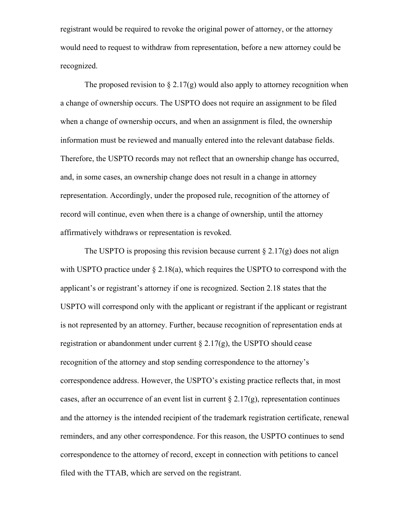registrant would be required to revoke the original power of attorney, or the attorney would need to request to withdraw from representation, before a new attorney could be recognized.

The proposed revision to  $\S 2.17(g)$  would also apply to attorney recognition when a change of ownership occurs. The USPTO does not require an assignment to be filed when a change of ownership occurs, and when an assignment is filed, the ownership information must be reviewed and manually entered into the relevant database fields. Therefore, the USPTO records may not reflect that an ownership change has occurred, and, in some cases, an ownership change does not result in a change in attorney representation. Accordingly, under the proposed rule, recognition of the attorney of record will continue, even when there is a change of ownership, until the attorney affirmatively withdraws or representation is revoked.

The USPTO is proposing this revision because current  $\S 2.17(g)$  does not align with USPTO practice under  $\S 2.18(a)$ , which requires the USPTO to correspond with the applicant's or registrant's attorney if one is recognized. Section 2.18 states that the USPTO will correspond only with the applicant or registrant if the applicant or registrant is not represented by an attorney. Further, because recognition of representation ends at registration or abandonment under current  $\S 2.17(g)$ , the USPTO should cease recognition of the attorney and stop sending correspondence to the attorney's correspondence address. However, the USPTO's existing practice reflects that, in most cases, after an occurrence of an event list in current  $\S 2.17(g)$ , representation continues and the attorney is the intended recipient of the trademark registration certificate, renewal reminders, and any other correspondence. For this reason, the USPTO continues to send correspondence to the attorney of record, except in connection with petitions to cancel filed with the TTAB, which are served on the registrant.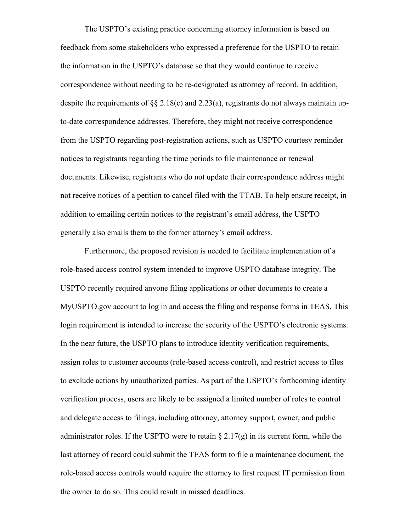The USPTO's existing practice concerning attorney information is based on feedback from some stakeholders who expressed a preference for the USPTO to retain the information in the USPTO's database so that they would continue to receive correspondence without needing to be re-designated as attorney of record. In addition, despite the requirements of §§ 2.18(c) and 2.23(a), registrants do not always maintain upto-date correspondence addresses. Therefore, they might not receive correspondence from the USPTO regarding post-registration actions, such as USPTO courtesy reminder notices to registrants regarding the time periods to file maintenance or renewal documents. Likewise, registrants who do not update their correspondence address might not receive notices of a petition to cancel filed with the TTAB. To help ensure receipt, in addition to emailing certain notices to the registrant's email address, the USPTO generally also emails them to the former attorney's email address.

Furthermore, the proposed revision is needed to facilitate implementation of a role-based access control system intended to improve USPTO database integrity. The USPTO recently required anyone filing applications or other documents to create a MyUSPTO.gov account to log in and access the filing and response forms in TEAS. This login requirement is intended to increase the security of the USPTO's electronic systems. In the near future, the USPTO plans to introduce identity verification requirements, assign roles to customer accounts (role-based access control), and restrict access to files to exclude actions by unauthorized parties. As part of the USPTO's forthcoming identity verification process, users are likely to be assigned a limited number of roles to control and delegate access to filings, including attorney, attorney support, owner, and public administrator roles. If the USPTO were to retain  $\S 2.17(g)$  in its current form, while the last attorney of record could submit the TEAS form to file a maintenance document, the role-based access controls would require the attorney to first request IT permission from the owner to do so. This could result in missed deadlines.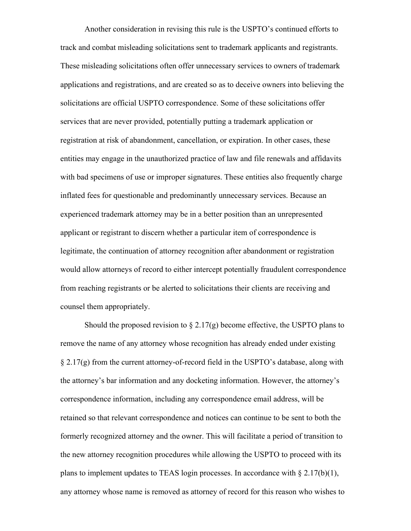Another consideration in revising this rule is the USPTO's continued efforts to track and combat misleading solicitations sent to trademark applicants and registrants. These misleading solicitations often offer unnecessary services to owners of trademark applications and registrations, and are created so as to deceive owners into believing the solicitations are official USPTO correspondence. Some of these solicitations offer services that are never provided, potentially putting a trademark application or registration at risk of abandonment, cancellation, or expiration. In other cases, these entities may engage in the unauthorized practice of law and file renewals and affidavits with bad specimens of use or improper signatures. These entities also frequently charge inflated fees for questionable and predominantly unnecessary services. Because an experienced trademark attorney may be in a better position than an unrepresented applicant or registrant to discern whether a particular item of correspondence is legitimate, the continuation of attorney recognition after abandonment or registration would allow attorneys of record to either intercept potentially fraudulent correspondence from reaching registrants or be alerted to solicitations their clients are receiving and counsel them appropriately.

Should the proposed revision to  $\S 2.17(g)$  become effective, the USPTO plans to remove the name of any attorney whose recognition has already ended under existing § 2.17(g) from the current attorney-of-record field in the USPTO's database, along with the attorney's bar information and any docketing information. However, the attorney's correspondence information, including any correspondence email address, will be retained so that relevant correspondence and notices can continue to be sent to both the formerly recognized attorney and the owner. This will facilitate a period of transition to the new attorney recognition procedures while allowing the USPTO to proceed with its plans to implement updates to TEAS login processes. In accordance with  $\S 2.17(b)(1)$ , any attorney whose name is removed as attorney of record for this reason who wishes to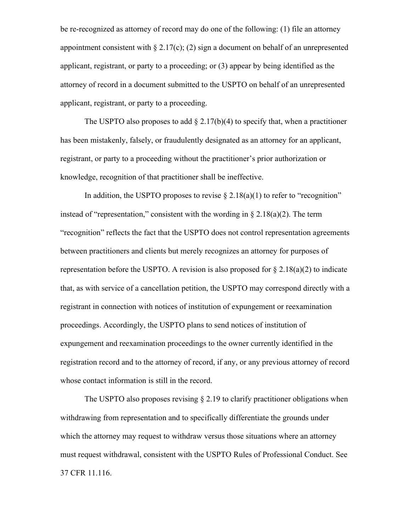be re-recognized as attorney of record may do one of the following: (1) file an attorney appointment consistent with  $\S 2.17(c)$ ; (2) sign a document on behalf of an unrepresented applicant, registrant, or party to a proceeding; or (3) appear by being identified as the attorney of record in a document submitted to the USPTO on behalf of an unrepresented applicant, registrant, or party to a proceeding.

The USPTO also proposes to add  $\S 2.17(b)(4)$  to specify that, when a practitioner has been mistakenly, falsely, or fraudulently designated as an attorney for an applicant, registrant, or party to a proceeding without the practitioner's prior authorization or knowledge, recognition of that practitioner shall be ineffective.

In addition, the USPTO proposes to revise  $\S 2.18(a)(1)$  to refer to "recognition" instead of "representation," consistent with the wording in  $\S 2.18(a)(2)$ . The term "recognition" reflects the fact that the USPTO does not control representation agreements between practitioners and clients but merely recognizes an attorney for purposes of representation before the USPTO. A revision is also proposed for  $\S 2.18(a)(2)$  to indicate that, as with service of a cancellation petition, the USPTO may correspond directly with a registrant in connection with notices of institution of expungement or reexamination proceedings. Accordingly, the USPTO plans to send notices of institution of expungement and reexamination proceedings to the owner currently identified in the registration record and to the attorney of record, if any, or any previous attorney of record whose contact information is still in the record.

The USPTO also proposes revising  $\S 2.19$  to clarify practitioner obligations when withdrawing from representation and to specifically differentiate the grounds under which the attorney may request to withdraw versus those situations where an attorney must request withdrawal, consistent with the USPTO Rules of Professional Conduct. See 37 CFR 11.116.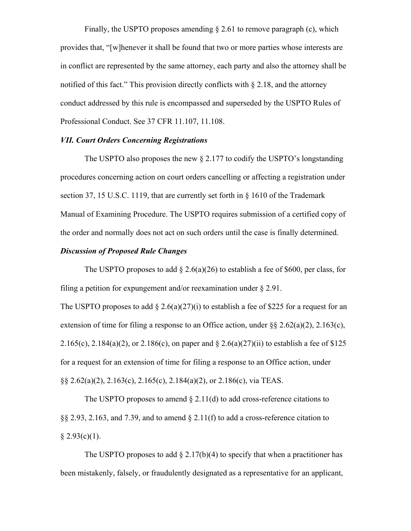Finally, the USPTO proposes amending § 2.61 to remove paragraph (c), which provides that, "[w]henever it shall be found that two or more parties whose interests are in conflict are represented by the same attorney, each party and also the attorney shall be notified of this fact." This provision directly conflicts with  $\S 2.18$ , and the attorney conduct addressed by this rule is encompassed and superseded by the USPTO Rules of Professional Conduct. See 37 CFR 11.107, 11.108.

# *VII. Court Orders Concerning Registrations*

The USPTO also proposes the new § 2.177 to codify the USPTO's longstanding procedures concerning action on court orders cancelling or affecting a registration under section 37, 15 U.S.C. 1119, that are currently set forth in § 1610 of the Trademark Manual of Examining Procedure. The USPTO requires submission of a certified copy of the order and normally does not act on such orders until the case is finally determined.

# *Discussion of Proposed Rule Changes*

The USPTO proposes to add  $\S 2.6(a)(26)$  to establish a fee of \$600, per class, for filing a petition for expungement and/or reexamination under  $\S 2.91$ .

The USPTO proposes to add  $\S 2.6(a)(27)(i)$  to establish a fee of \$225 for a request for an extension of time for filing a response to an Office action, under  $\S 2.62(a)(2)$ ,  $2.163(c)$ , 2.165(c), 2.184(a)(2), or 2.186(c), on paper and  $\S 2.6(a)(27)(ii)$  to establish a fee of  $$125$ for a request for an extension of time for filing a response to an Office action, under §§ 2.62(a)(2), 2.163(c), 2.165(c), 2.184(a)(2), or 2.186(c), via TEAS.

The USPTO proposes to amend  $\S 2.11(d)$  to add cross-reference citations to §§ 2.93, 2.163, and 7.39, and to amend § 2.11(f) to add a cross-reference citation to  $§ 2.93(c)(1).$ 

The USPTO proposes to add  $\S 2.17(b)(4)$  to specify that when a practitioner has been mistakenly, falsely, or fraudulently designated as a representative for an applicant,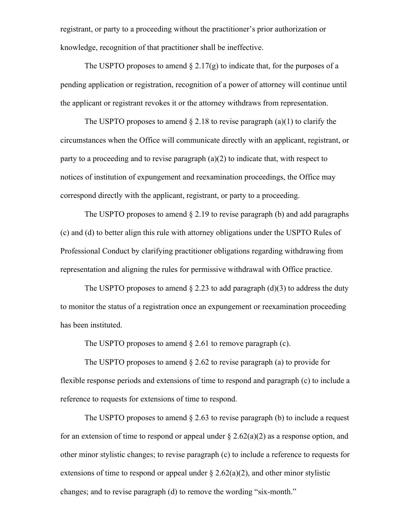registrant, or party to a proceeding without the practitioner's prior authorization or knowledge, recognition of that practitioner shall be ineffective.

The USPTO proposes to amend  $\S 2.17(g)$  to indicate that, for the purposes of a pending application or registration, recognition of a power of attorney will continue until the applicant or registrant revokes it or the attorney withdraws from representation.

The USPTO proposes to amend  $\S 2.18$  to revise paragraph (a)(1) to clarify the circumstances when the Office will communicate directly with an applicant, registrant, or party to a proceeding and to revise paragraph (a)(2) to indicate that, with respect to notices of institution of expungement and reexamination proceedings, the Office may correspond directly with the applicant, registrant, or party to a proceeding.

The USPTO proposes to amend  $\S 2.19$  to revise paragraph (b) and add paragraphs (c) and (d) to better align this rule with attorney obligations under the USPTO Rules of Professional Conduct by clarifying practitioner obligations regarding withdrawing from representation and aligning the rules for permissive withdrawal with Office practice.

The USPTO proposes to amend  $\S$  2.23 to add paragraph (d)(3) to address the duty to monitor the status of a registration once an expungement or reexamination proceeding has been instituted.

The USPTO proposes to amend  $\S 2.61$  to remove paragraph (c).

The USPTO proposes to amend  $\S 2.62$  to revise paragraph (a) to provide for flexible response periods and extensions of time to respond and paragraph (c) to include a reference to requests for extensions of time to respond.

The USPTO proposes to amend  $\S$  2.63 to revise paragraph (b) to include a request for an extension of time to respond or appeal under  $\S 2.62(a)(2)$  as a response option, and other minor stylistic changes; to revise paragraph (c) to include a reference to requests for extensions of time to respond or appeal under  $\S 2.62(a)(2)$ , and other minor stylistic changes; and to revise paragraph (d) to remove the wording "six-month."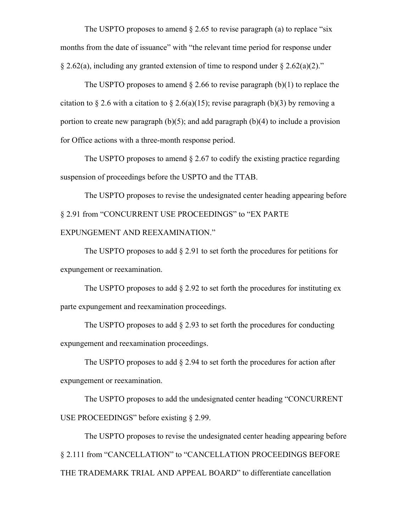The USPTO proposes to amend  $\S 2.65$  to revise paragraph (a) to replace "six months from the date of issuance" with "the relevant time period for response under  $\S 2.62(a)$ , including any granted extension of time to respond under  $\S 2.62(a)(2)$ ."

The USPTO proposes to amend  $\S 2.66$  to revise paragraph (b)(1) to replace the citation to § 2.6 with a citation to § 2.6(a)(15); revise paragraph (b)(3) by removing a portion to create new paragraph  $(b)(5)$ ; and add paragraph  $(b)(4)$  to include a provision for Office actions with a three-month response period.

The USPTO proposes to amend  $\S 2.67$  to codify the existing practice regarding suspension of proceedings before the USPTO and the TTAB.

The USPTO proposes to revise the undesignated center heading appearing before § 2.91 from "CONCURRENT USE PROCEEDINGS" to "EX PARTE EXPUNGEMENT AND REEXAMINATION."

The USPTO proposes to add  $\S 2.91$  to set forth the procedures for petitions for expungement or reexamination.

The USPTO proposes to add  $\S 2.92$  to set forth the procedures for instituting ex parte expungement and reexamination proceedings.

The USPTO proposes to add § 2.93 to set forth the procedures for conducting expungement and reexamination proceedings.

The USPTO proposes to add § 2.94 to set forth the procedures for action after expungement or reexamination.

The USPTO proposes to add the undesignated center heading "CONCURRENT USE PROCEEDINGS" before existing § 2.99.

The USPTO proposes to revise the undesignated center heading appearing before § 2.111 from "CANCELLATION" to "CANCELLATION PROCEEDINGS BEFORE THE TRADEMARK TRIAL AND APPEAL BOARD" to differentiate cancellation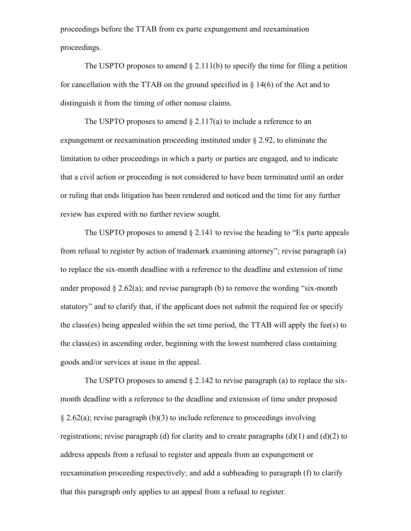proceedings before the TTAB from ex parte expungement and reexamination proceedings.

The USPTO proposes to amend  $\S 2.111(b)$  to specify the time for filing a petition for cancellation with the TTAB on the ground specified in  $\S$  14(6) of the Act and to distinguish it from the timing of other nonuse claims.

The USPTO proposes to amend  $\S 2.117(a)$  to include a reference to an expungement or reexamination proceeding instituted under § 2.92, to eliminate the limitation to other proceedings in which a party or parties are engaged, and to indicate that a civil action or proceeding is not considered to have been terminated until an order or ruling that ends litigation has been rendered and noticed and the time for any further review has expired with no further review sought.

The USPTO proposes to amend  $\S 2.141$  to revise the heading to "Ex parte appeals" from refusal to register by action of trademark examining attorney"; revise paragraph (a) to replace the six-month deadline with a reference to the deadline and extension of time under proposed  $\S 2.62(a)$ ; and revise paragraph (b) to remove the wording "six-month statutory" and to clarify that, if the applicant does not submit the required fee or specify the class(es) being appealed within the set time period, the TTAB will apply the fee(s) to the class(es) in ascending order, beginning with the lowest numbered class containing goods and/or services at issue in the appeal.

The USPTO proposes to amend  $\S 2.142$  to revise paragraph (a) to replace the sixmonth deadline with a reference to the deadline and extension of time under proposed  $\S 2.62(a)$ ; revise paragraph (b)(3) to include reference to proceedings involving registrations; revise paragraph (d) for clarity and to create paragraphs  $(d)(1)$  and  $(d)(2)$  to address appeals from a refusal to register and appeals from an expungement or reexamination proceeding respectively; and add a subheading to paragraph (f) to clarify that this paragraph only applies to an appeal from a refusal to register.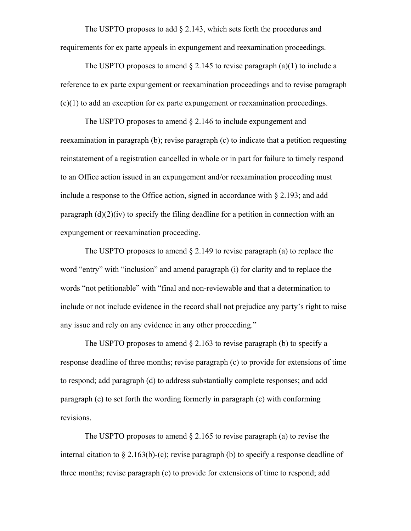The USPTO proposes to add § 2.143, which sets forth the procedures and requirements for ex parte appeals in expungement and reexamination proceedings.

The USPTO proposes to amend  $\S 2.145$  to revise paragraph (a)(1) to include a reference to ex parte expungement or reexamination proceedings and to revise paragraph (c)(1) to add an exception for ex parte expungement or reexamination proceedings.

The USPTO proposes to amend § 2.146 to include expungement and reexamination in paragraph (b); revise paragraph (c) to indicate that a petition requesting reinstatement of a registration cancelled in whole or in part for failure to timely respond to an Office action issued in an expungement and/or reexamination proceeding must include a response to the Office action, signed in accordance with § 2.193; and add paragraph  $(d)(2)(iv)$  to specify the filing deadline for a petition in connection with an expungement or reexamination proceeding.

The USPTO proposes to amend  $\S 2.149$  to revise paragraph (a) to replace the word "entry" with "inclusion" and amend paragraph (i) for clarity and to replace the words "not petitionable" with "final and non-reviewable and that a determination to include or not include evidence in the record shall not prejudice any party's right to raise any issue and rely on any evidence in any other proceeding."

The USPTO proposes to amend  $\S$  2.163 to revise paragraph (b) to specify a response deadline of three months; revise paragraph (c) to provide for extensions of time to respond; add paragraph (d) to address substantially complete responses; and add paragraph (e) to set forth the wording formerly in paragraph (c) with conforming revisions.

The USPTO proposes to amend  $\S 2.165$  to revise paragraph (a) to revise the internal citation to  $\S 2.163(b)-(c)$ ; revise paragraph (b) to specify a response deadline of three months; revise paragraph (c) to provide for extensions of time to respond; add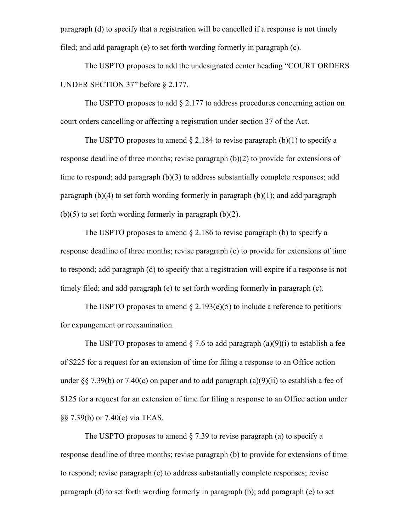paragraph (d) to specify that a registration will be cancelled if a response is not timely filed; and add paragraph (e) to set forth wording formerly in paragraph (c).

The USPTO proposes to add the undesignated center heading "COURT ORDERS UNDER SECTION 37" before § 2.177.

The USPTO proposes to add  $\S 2.177$  to address procedures concerning action on court orders cancelling or affecting a registration under section 37 of the Act.

The USPTO proposes to amend  $\S 2.184$  to revise paragraph (b)(1) to specify a response deadline of three months; revise paragraph (b)(2) to provide for extensions of time to respond; add paragraph (b)(3) to address substantially complete responses; add paragraph (b)(4) to set forth wording formerly in paragraph (b)(1); and add paragraph  $(b)(5)$  to set forth wording formerly in paragraph  $(b)(2)$ .

The USPTO proposes to amend § 2.186 to revise paragraph (b) to specify a response deadline of three months; revise paragraph (c) to provide for extensions of time to respond; add paragraph (d) to specify that a registration will expire if a response is not timely filed; and add paragraph (e) to set forth wording formerly in paragraph (c).

The USPTO proposes to amend  $\S 2.193(e)(5)$  to include a reference to petitions for expungement or reexamination.

The USPTO proposes to amend  $\S$  7.6 to add paragraph (a)(9)(i) to establish a fee of \$225 for a request for an extension of time for filing a response to an Office action under §§ 7.39(b) or 7.40(c) on paper and to add paragraph  $(a)(9)(ii)$  to establish a fee of \$125 for a request for an extension of time for filing a response to an Office action under §§ 7.39(b) or 7.40(c) via TEAS.

The USPTO proposes to amend  $\S$  7.39 to revise paragraph (a) to specify a response deadline of three months; revise paragraph (b) to provide for extensions of time to respond; revise paragraph (c) to address substantially complete responses; revise paragraph (d) to set forth wording formerly in paragraph (b); add paragraph (e) to set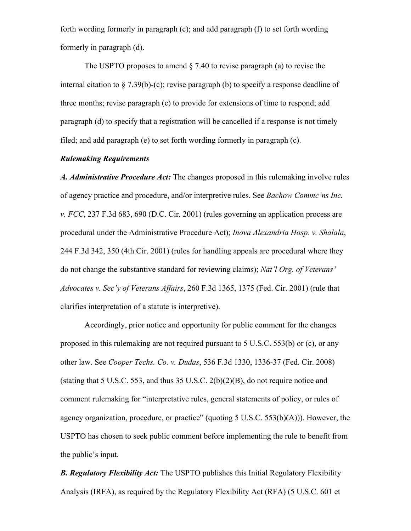forth wording formerly in paragraph (c); and add paragraph (f) to set forth wording formerly in paragraph (d).

The USPTO proposes to amend  $\S$  7.40 to revise paragraph (a) to revise the internal citation to  $\S 7.39(b)$ -(c); revise paragraph (b) to specify a response deadline of three months; revise paragraph (c) to provide for extensions of time to respond; add paragraph (d) to specify that a registration will be cancelled if a response is not timely filed; and add paragraph (e) to set forth wording formerly in paragraph (c).

# *Rulemaking Requirements*

*A. Administrative Procedure Act:* The changes proposed in this rulemaking involve rules of agency practice and procedure, and/or interpretive rules. See *Bachow Commc'ns Inc. v. FCC*, 237 F.3d 683, 690 (D.C. Cir. 2001) (rules governing an application process are procedural under the Administrative Procedure Act); *Inova Alexandria Hosp. v. Shalala*, 244 F.3d 342, 350 (4th Cir. 2001) (rules for handling appeals are procedural where they do not change the substantive standard for reviewing claims); *Nat'l Org. of Veterans' Advocates v. Sec'y of Veterans Affairs*, 260 F.3d 1365, 1375 (Fed. Cir. 2001) (rule that clarifies interpretation of a statute is interpretive).

Accordingly, prior notice and opportunity for public comment for the changes proposed in this rulemaking are not required pursuant to 5 U.S.C. 553(b) or (c), or any other law. See *Cooper Techs. Co. v. Dudas*, 536 F.3d 1330, 1336-37 (Fed. Cir. 2008) (stating that 5 U.S.C. 553, and thus 35 U.S.C. 2(b)(2)(B), do not require notice and comment rulemaking for "interpretative rules, general statements of policy, or rules of agency organization, procedure, or practice" (quoting 5 U.S.C. 553(b)(A))). However, the USPTO has chosen to seek public comment before implementing the rule to benefit from the public's input.

*B. Regulatory Flexibility Act:* The USPTO publishes this Initial Regulatory Flexibility Analysis (IRFA), as required by the Regulatory Flexibility Act (RFA) (5 U.S.C. 601 et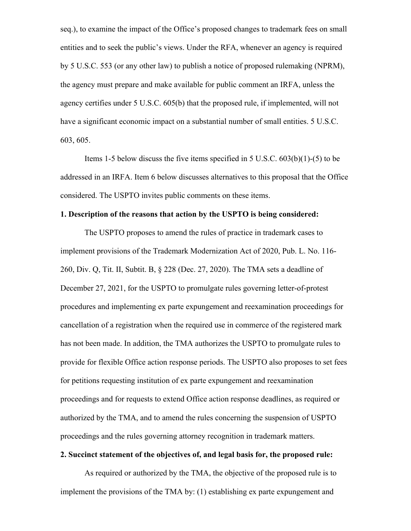seq.), to examine the impact of the Office's proposed changes to trademark fees on small entities and to seek the public's views. Under the RFA, whenever an agency is required by 5 U.S.C. 553 (or any other law) to publish a notice of proposed rulemaking (NPRM), the agency must prepare and make available for public comment an IRFA, unless the agency certifies under 5 U.S.C. 605(b) that the proposed rule, if implemented, will not have a significant economic impact on a substantial number of small entities. 5 U.S.C. 603, 605.

Items 1-5 below discuss the five items specified in 5 U.S.C. 603(b)(1)-(5) to be addressed in an IRFA. Item 6 below discusses alternatives to this proposal that the Office considered. The USPTO invites public comments on these items.

## **1. Description of the reasons that action by the USPTO is being considered:**

The USPTO proposes to amend the rules of practice in trademark cases to implement provisions of the Trademark Modernization Act of 2020, Pub. L. No. 116- 260, Div. Q, Tit. II, Subtit. B, § 228 (Dec. 27, 2020). The TMA sets a deadline of December 27, 2021, for the USPTO to promulgate rules governing letter-of-protest procedures and implementing ex parte expungement and reexamination proceedings for cancellation of a registration when the required use in commerce of the registered mark has not been made. In addition, the TMA authorizes the USPTO to promulgate rules to provide for flexible Office action response periods. The USPTO also proposes to set fees for petitions requesting institution of ex parte expungement and reexamination proceedings and for requests to extend Office action response deadlines, as required or authorized by the TMA, and to amend the rules concerning the suspension of USPTO proceedings and the rules governing attorney recognition in trademark matters.

#### **2. Succinct statement of the objectives of, and legal basis for, the proposed rule:**

As required or authorized by the TMA, the objective of the proposed rule is to implement the provisions of the TMA by: (1) establishing ex parte expungement and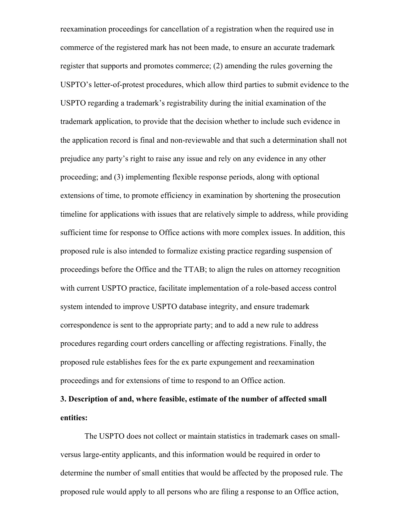reexamination proceedings for cancellation of a registration when the required use in commerce of the registered mark has not been made, to ensure an accurate trademark register that supports and promotes commerce; (2) amending the rules governing the USPTO's letter-of-protest procedures, which allow third parties to submit evidence to the USPTO regarding a trademark's registrability during the initial examination of the trademark application, to provide that the decision whether to include such evidence in the application record is final and non-reviewable and that such a determination shall not prejudice any party's right to raise any issue and rely on any evidence in any other proceeding; and (3) implementing flexible response periods, along with optional extensions of time, to promote efficiency in examination by shortening the prosecution timeline for applications with issues that are relatively simple to address, while providing sufficient time for response to Office actions with more complex issues. In addition, this proposed rule is also intended to formalize existing practice regarding suspension of proceedings before the Office and the TTAB; to align the rules on attorney recognition with current USPTO practice, facilitate implementation of a role-based access control system intended to improve USPTO database integrity, and ensure trademark correspondence is sent to the appropriate party; and to add a new rule to address procedures regarding court orders cancelling or affecting registrations. Finally, the proposed rule establishes fees for the ex parte expungement and reexamination proceedings and for extensions of time to respond to an Office action.

# **3. Description of and, where feasible, estimate of the number of affected small entities:**

The USPTO does not collect or maintain statistics in trademark cases on smallversus large-entity applicants, and this information would be required in order to determine the number of small entities that would be affected by the proposed rule. The proposed rule would apply to all persons who are filing a response to an Office action,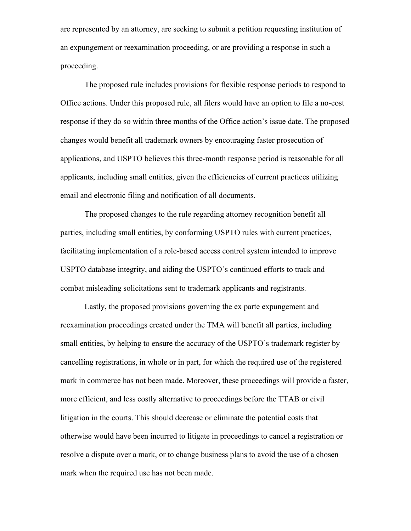are represented by an attorney, are seeking to submit a petition requesting institution of an expungement or reexamination proceeding, or are providing a response in such a proceeding.

The proposed rule includes provisions for flexible response periods to respond to Office actions. Under this proposed rule, all filers would have an option to file a no-cost response if they do so within three months of the Office action's issue date. The proposed changes would benefit all trademark owners by encouraging faster prosecution of applications, and USPTO believes this three-month response period is reasonable for all applicants, including small entities, given the efficiencies of current practices utilizing email and electronic filing and notification of all documents.

The proposed changes to the rule regarding attorney recognition benefit all parties, including small entities, by conforming USPTO rules with current practices, facilitating implementation of a role-based access control system intended to improve USPTO database integrity, and aiding the USPTO's continued efforts to track and combat misleading solicitations sent to trademark applicants and registrants.

Lastly, the proposed provisions governing the ex parte expungement and reexamination proceedings created under the TMA will benefit all parties, including small entities, by helping to ensure the accuracy of the USPTO's trademark register by cancelling registrations, in whole or in part, for which the required use of the registered mark in commerce has not been made. Moreover, these proceedings will provide a faster, more efficient, and less costly alternative to proceedings before the TTAB or civil litigation in the courts. This should decrease or eliminate the potential costs that otherwise would have been incurred to litigate in proceedings to cancel a registration or resolve a dispute over a mark, or to change business plans to avoid the use of a chosen mark when the required use has not been made.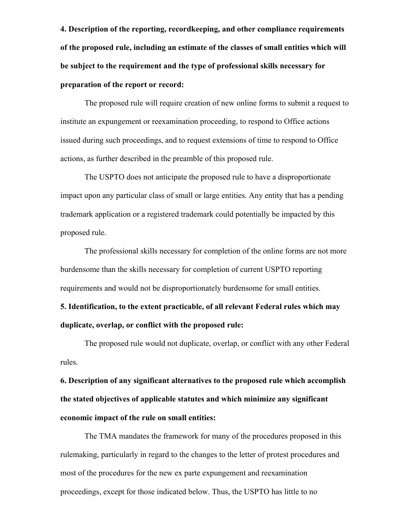**4. Description of the reporting, recordkeeping, and other compliance requirements of the proposed rule, including an estimate of the classes of small entities which will be subject to the requirement and the type of professional skills necessary for preparation of the report or record:**

The proposed rule will require creation of new online forms to submit a request to institute an expungement or reexamination proceeding, to respond to Office actions issued during such proceedings, and to request extensions of time to respond to Office actions, as further described in the preamble of this proposed rule.

The USPTO does not anticipate the proposed rule to have a disproportionate impact upon any particular class of small or large entities. Any entity that has a pending trademark application or a registered trademark could potentially be impacted by this proposed rule.

The professional skills necessary for completion of the online forms are not more burdensome than the skills necessary for completion of current USPTO reporting requirements and would not be disproportionately burdensome for small entities.

**5. Identification, to the extent practicable, of all relevant Federal rules which may duplicate, overlap, or conflict with the proposed rule:**

The proposed rule would not duplicate, overlap, or conflict with any other Federal rules.

**6. Description of any significant alternatives to the proposed rule which accomplish the stated objectives of applicable statutes and which minimize any significant economic impact of the rule on small entities:**

The TMA mandates the framework for many of the procedures proposed in this rulemaking, particularly in regard to the changes to the letter of protest procedures and most of the procedures for the new ex parte expungement and reexamination proceedings, except for those indicated below. Thus, the USPTO has little to no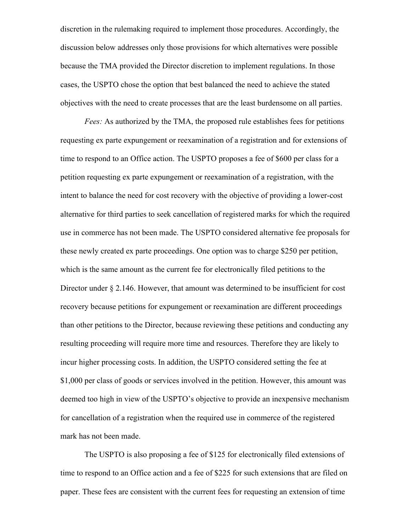discretion in the rulemaking required to implement those procedures. Accordingly, the discussion below addresses only those provisions for which alternatives were possible because the TMA provided the Director discretion to implement regulations. In those cases, the USPTO chose the option that best balanced the need to achieve the stated objectives with the need to create processes that are the least burdensome on all parties.

*Fees:* As authorized by the TMA, the proposed rule establishes fees for petitions requesting ex parte expungement or reexamination of a registration and for extensions of time to respond to an Office action. The USPTO proposes a fee of \$600 per class for a petition requesting ex parte expungement or reexamination of a registration, with the intent to balance the need for cost recovery with the objective of providing a lower-cost alternative for third parties to seek cancellation of registered marks for which the required use in commerce has not been made. The USPTO considered alternative fee proposals for these newly created ex parte proceedings. One option was to charge \$250 per petition, which is the same amount as the current fee for electronically filed petitions to the Director under § 2.146. However, that amount was determined to be insufficient for cost recovery because petitions for expungement or reexamination are different proceedings than other petitions to the Director, because reviewing these petitions and conducting any resulting proceeding will require more time and resources. Therefore they are likely to incur higher processing costs. In addition, the USPTO considered setting the fee at \$1,000 per class of goods or services involved in the petition. However, this amount was deemed too high in view of the USPTO's objective to provide an inexpensive mechanism for cancellation of a registration when the required use in commerce of the registered mark has not been made.

The USPTO is also proposing a fee of \$125 for electronically filed extensions of time to respond to an Office action and a fee of \$225 for such extensions that are filed on paper. These fees are consistent with the current fees for requesting an extension of time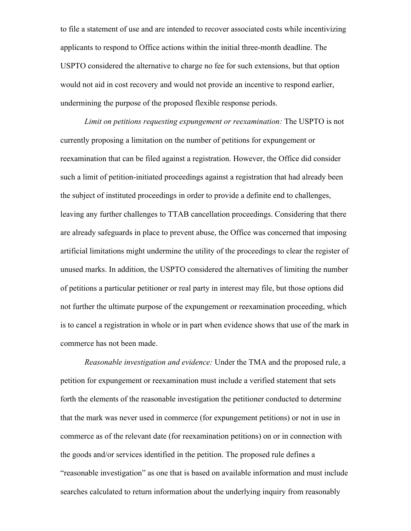to file a statement of use and are intended to recover associated costs while incentivizing applicants to respond to Office actions within the initial three-month deadline. The USPTO considered the alternative to charge no fee for such extensions, but that option would not aid in cost recovery and would not provide an incentive to respond earlier, undermining the purpose of the proposed flexible response periods.

*Limit on petitions requesting expungement or reexamination:* The USPTO is not currently proposing a limitation on the number of petitions for expungement or reexamination that can be filed against a registration. However, the Office did consider such a limit of petition-initiated proceedings against a registration that had already been the subject of instituted proceedings in order to provide a definite end to challenges, leaving any further challenges to TTAB cancellation proceedings. Considering that there are already safeguards in place to prevent abuse, the Office was concerned that imposing artificial limitations might undermine the utility of the proceedings to clear the register of unused marks. In addition, the USPTO considered the alternatives of limiting the number of petitions a particular petitioner or real party in interest may file, but those options did not further the ultimate purpose of the expungement or reexamination proceeding, which is to cancel a registration in whole or in part when evidence shows that use of the mark in commerce has not been made.

*Reasonable investigation and evidence:* Under the TMA and the proposed rule, a petition for expungement or reexamination must include a verified statement that sets forth the elements of the reasonable investigation the petitioner conducted to determine that the mark was never used in commerce (for expungement petitions) or not in use in commerce as of the relevant date (for reexamination petitions) on or in connection with the goods and/or services identified in the petition. The proposed rule defines a "reasonable investigation" as one that is based on available information and must include searches calculated to return information about the underlying inquiry from reasonably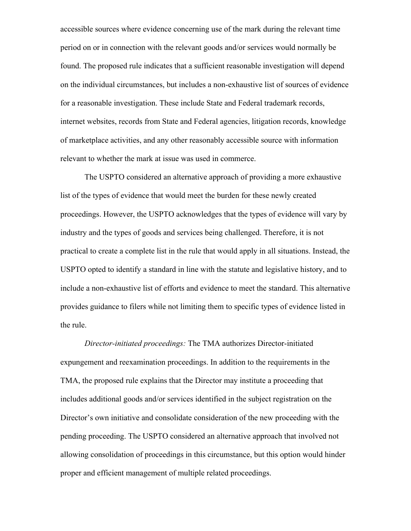accessible sources where evidence concerning use of the mark during the relevant time period on or in connection with the relevant goods and/or services would normally be found. The proposed rule indicates that a sufficient reasonable investigation will depend on the individual circumstances, but includes a non-exhaustive list of sources of evidence for a reasonable investigation. These include State and Federal trademark records, internet websites, records from State and Federal agencies, litigation records, knowledge of marketplace activities, and any other reasonably accessible source with information relevant to whether the mark at issue was used in commerce.

The USPTO considered an alternative approach of providing a more exhaustive list of the types of evidence that would meet the burden for these newly created proceedings. However, the USPTO acknowledges that the types of evidence will vary by industry and the types of goods and services being challenged. Therefore, it is not practical to create a complete list in the rule that would apply in all situations. Instead, the USPTO opted to identify a standard in line with the statute and legislative history, and to include a non-exhaustive list of efforts and evidence to meet the standard. This alternative provides guidance to filers while not limiting them to specific types of evidence listed in the rule.

*Director-initiated proceedings:* The TMA authorizes Director-initiated expungement and reexamination proceedings. In addition to the requirements in the TMA, the proposed rule explains that the Director may institute a proceeding that includes additional goods and/or services identified in the subject registration on the Director's own initiative and consolidate consideration of the new proceeding with the pending proceeding. The USPTO considered an alternative approach that involved not allowing consolidation of proceedings in this circumstance, but this option would hinder proper and efficient management of multiple related proceedings.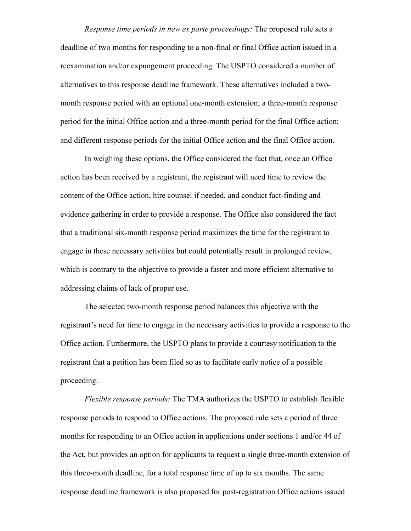*Response time periods in new ex parte proceedings:* The proposed rule sets a deadline of two months for responding to a non-final or final Office action issued in a reexamination and/or expungement proceeding. The USPTO considered a number of alternatives to this response deadline framework. These alternatives included a twomonth response period with an optional one-month extension; a three-month response period for the initial Office action and a three-month period for the final Office action; and different response periods for the initial Office action and the final Office action.

In weighing these options, the Office considered the fact that, once an Office action has been received by a registrant, the registrant will need time to review the content of the Office action, hire counsel if needed, and conduct fact-finding and evidence gathering in order to provide a response. The Office also considered the fact that a traditional six-month response period maximizes the time for the registrant to engage in these necessary activities but could potentially result in prolonged review, which is contrary to the objective to provide a faster and more efficient alternative to addressing claims of lack of proper use.

The selected two-month response period balances this objective with the registrant's need for time to engage in the necessary activities to provide a response to the Office action. Furthermore, the USPTO plans to provide a courtesy notification to the registrant that a petition has been filed so as to facilitate early notice of a possible proceeding.

*Flexible response periods:* The TMA authorizes the USPTO to establish flexible response periods to respond to Office actions. The proposed rule sets a period of three months for responding to an Office action in applications under sections 1 and/or 44 of the Act, but provides an option for applicants to request a single three-month extension of this three-month deadline, for a total response time of up to six months. The same response deadline framework is also proposed for post-registration Office actions issued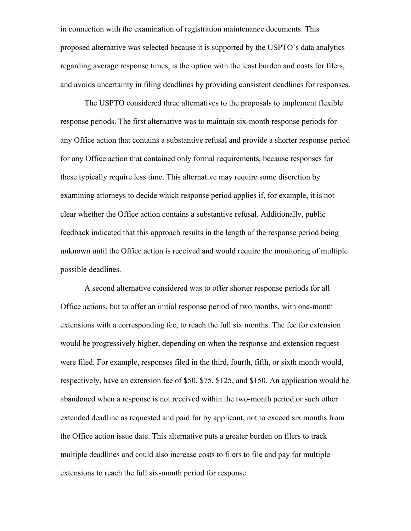in connection with the examination of registration maintenance documents. This proposed alternative was selected because it is supported by the USPTO's data analytics regarding average response times, is the option with the least burden and costs for filers, and avoids uncertainty in filing deadlines by providing consistent deadlines for responses.

The USPTO considered three alternatives to the proposals to implement flexible response periods. The first alternative was to maintain six-month response periods for any Office action that contains a substantive refusal and provide a shorter response period for any Office action that contained only formal requirements, because responses for these typically require less time. This alternative may require some discretion by examining attorneys to decide which response period applies if, for example, it is not clear whether the Office action contains a substantive refusal. Additionally, public feedback indicated that this approach results in the length of the response period being unknown until the Office action is received and would require the monitoring of multiple possible deadlines.

A second alternative considered was to offer shorter response periods for all Office actions, but to offer an initial response period of two months, with one-month extensions with a corresponding fee, to reach the full six months. The fee for extension would be progressively higher, depending on when the response and extension request were filed. For example, responses filed in the third, fourth, fifth, or sixth month would, respectively, have an extension fee of \$50, \$75, \$125, and \$150. An application would be abandoned when a response is not received within the two-month period or such other extended deadline as requested and paid for by applicant, not to exceed six months from the Office action issue date. This alternative puts a greater burden on filers to track multiple deadlines and could also increase costs to filers to file and pay for multiple extensions to reach the full six-month period for response.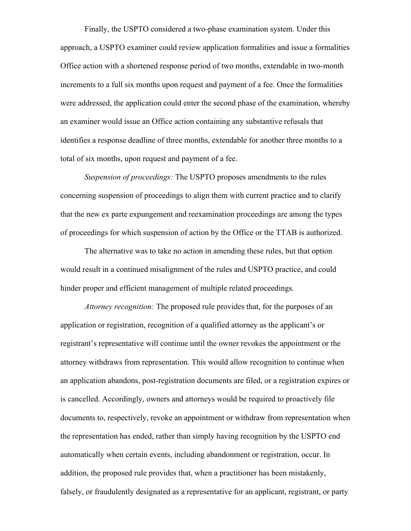Finally, the USPTO considered a two-phase examination system. Under this approach, a USPTO examiner could review application formalities and issue a formalities Office action with a shortened response period of two months, extendable in two-month increments to a full six months upon request and payment of a fee. Once the formalities were addressed, the application could enter the second phase of the examination, whereby an examiner would issue an Office action containing any substantive refusals that identifies a response deadline of three months, extendable for another three months to a total of six months, upon request and payment of a fee.

*Suspension of proceedings:* The USPTO proposes amendments to the rules concerning suspension of proceedings to align them with current practice and to clarify that the new ex parte expungement and reexamination proceedings are among the types of proceedings for which suspension of action by the Office or the TTAB is authorized.

The alternative was to take no action in amending these rules, but that option would result in a continued misalignment of the rules and USPTO practice, and could hinder proper and efficient management of multiple related proceedings.

*Attorney recognition:* The proposed rule provides that, for the purposes of an application or registration, recognition of a qualified attorney as the applicant's or registrant's representative will continue until the owner revokes the appointment or the attorney withdraws from representation. This would allow recognition to continue when an application abandons, post-registration documents are filed, or a registration expires or is cancelled. Accordingly, owners and attorneys would be required to proactively file documents to, respectively, revoke an appointment or withdraw from representation when the representation has ended, rather than simply having recognition by the USPTO end automatically when certain events, including abandonment or registration, occur. In addition, the proposed rule provides that, when a practitioner has been mistakenly, falsely, or fraudulently designated as a representative for an applicant, registrant, or party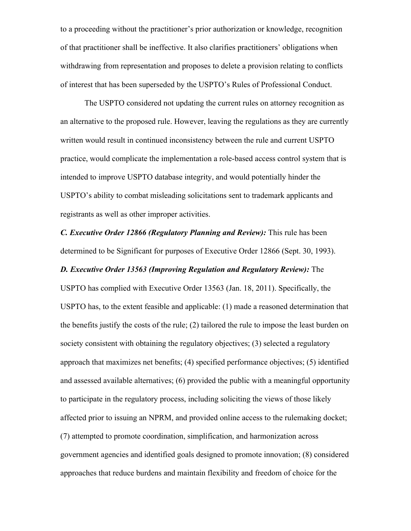to a proceeding without the practitioner's prior authorization or knowledge, recognition of that practitioner shall be ineffective. It also clarifies practitioners' obligations when withdrawing from representation and proposes to delete a provision relating to conflicts of interest that has been superseded by the USPTO's Rules of Professional Conduct.

The USPTO considered not updating the current rules on attorney recognition as an alternative to the proposed rule. However, leaving the regulations as they are currently written would result in continued inconsistency between the rule and current USPTO practice, would complicate the implementation a role-based access control system that is intended to improve USPTO database integrity, and would potentially hinder the USPTO's ability to combat misleading solicitations sent to trademark applicants and registrants as well as other improper activities.

*C. Executive Order 12866 (Regulatory Planning and Review):* This rule has been determined to be Significant for purposes of Executive Order 12866 (Sept. 30, 1993).

# *D. Executive Order 13563 (Improving Regulation and Regulatory Review):* The

USPTO has complied with Executive Order 13563 (Jan. 18, 2011). Specifically, the USPTO has, to the extent feasible and applicable: (1) made a reasoned determination that the benefits justify the costs of the rule; (2) tailored the rule to impose the least burden on society consistent with obtaining the regulatory objectives; (3) selected a regulatory approach that maximizes net benefits; (4) specified performance objectives; (5) identified and assessed available alternatives; (6) provided the public with a meaningful opportunity to participate in the regulatory process, including soliciting the views of those likely affected prior to issuing an NPRM, and provided online access to the rulemaking docket; (7) attempted to promote coordination, simplification, and harmonization across government agencies and identified goals designed to promote innovation; (8) considered approaches that reduce burdens and maintain flexibility and freedom of choice for the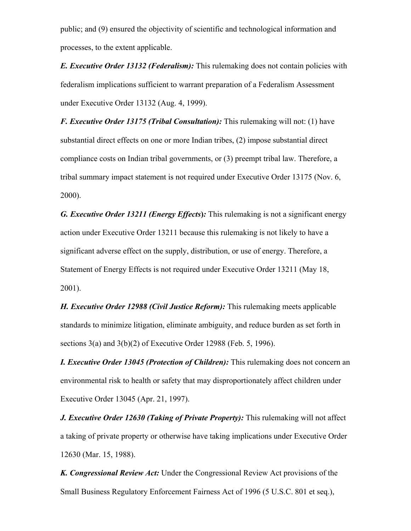public; and (9) ensured the objectivity of scientific and technological information and processes, to the extent applicable.

*E. Executive Order 13132 (Federalism):* This rulemaking does not contain policies with federalism implications sufficient to warrant preparation of a Federalism Assessment under Executive Order 13132 (Aug. 4, 1999).

*F. Executive Order 13175 (Tribal Consultation):* This rulemaking will not: (1) have substantial direct effects on one or more Indian tribes, (2) impose substantial direct compliance costs on Indian tribal governments, or (3) preempt tribal law. Therefore, a tribal summary impact statement is not required under Executive Order 13175 (Nov. 6, 2000).

*G. Executive Order 13211 (Energy Effects***)***:* This rulemaking is not a significant energy action under Executive Order 13211 because this rulemaking is not likely to have a significant adverse effect on the supply, distribution, or use of energy. Therefore, a Statement of Energy Effects is not required under Executive Order 13211 (May 18, 2001).

*H. Executive Order 12988 (Civil Justice Reform):* This rulemaking meets applicable standards to minimize litigation, eliminate ambiguity, and reduce burden as set forth in sections 3(a) and 3(b)(2) of Executive Order 12988 (Feb. 5, 1996).

*I. Executive Order 13045 (Protection of Children):* This rulemaking does not concern an environmental risk to health or safety that may disproportionately affect children under Executive Order 13045 (Apr. 21, 1997).

*J. Executive Order 12630 (Taking of Private Property):* This rulemaking will not affect a taking of private property or otherwise have taking implications under Executive Order 12630 (Mar. 15, 1988).

*K. Congressional Review Act:* Under the Congressional Review Act provisions of the Small Business Regulatory Enforcement Fairness Act of 1996 (5 U.S.C. 801 et seq.),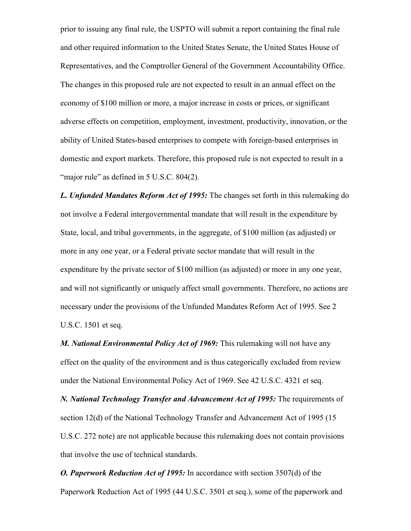prior to issuing any final rule, the USPTO will submit a report containing the final rule and other required information to the United States Senate, the United States House of Representatives, and the Comptroller General of the Government Accountability Office. The changes in this proposed rule are not expected to result in an annual effect on the economy of \$100 million or more, a major increase in costs or prices, or significant adverse effects on competition, employment, investment, productivity, innovation, or the ability of United States-based enterprises to compete with foreign-based enterprises in domestic and export markets. Therefore, this proposed rule is not expected to result in a "major rule" as defined in 5 U.S.C. 804(2).

*L. Unfunded Mandates Reform Act of 1995:* The changes set forth in this rulemaking do not involve a Federal intergovernmental mandate that will result in the expenditure by State, local, and tribal governments, in the aggregate, of \$100 million (as adjusted) or more in any one year, or a Federal private sector mandate that will result in the expenditure by the private sector of \$100 million (as adjusted) or more in any one year, and will not significantly or uniquely affect small governments. Therefore, no actions are necessary under the provisions of the Unfunded Mandates Reform Act of 1995. See 2 U.S.C. 1501 et seq.

*M. National Environmental Policy Act of 1969:* This rulemaking will not have any effect on the quality of the environment and is thus categorically excluded from review under the National Environmental Policy Act of 1969. See 42 U.S.C. 4321 et seq.

*N. National Technology Transfer and Advancement Act of 1995:* The requirements of section 12(d) of the National Technology Transfer and Advancement Act of 1995 (15 U.S.C. 272 note) are not applicable because this rulemaking does not contain provisions that involve the use of technical standards.

*O. Paperwork Reduction Act of 1995:* In accordance with section 3507(d) of the Paperwork Reduction Act of 1995 (44 U.S.C. 3501 et seq.), some of the paperwork and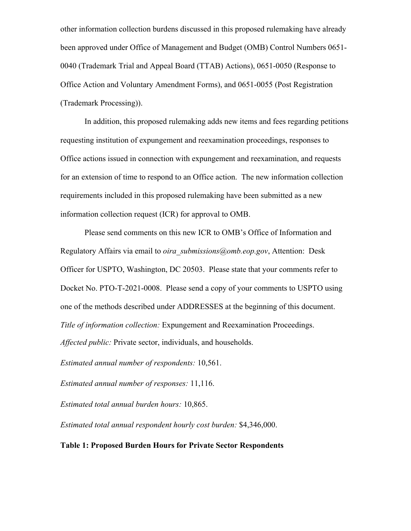other information collection burdens discussed in this proposed rulemaking have already been approved under Office of Management and Budget (OMB) Control Numbers 0651- 0040 (Trademark Trial and Appeal Board (TTAB) Actions), 0651-0050 (Response to Office Action and Voluntary Amendment Forms), and 0651-0055 (Post Registration (Trademark Processing)).

In addition, this proposed rulemaking adds new items and fees regarding petitions requesting institution of expungement and reexamination proceedings, responses to Office actions issued in connection with expungement and reexamination, and requests for an extension of time to respond to an Office action. The new information collection requirements included in this proposed rulemaking have been submitted as a new information collection request (ICR) for approval to OMB.

Please send comments on this new ICR to OMB's Office of Information and Regulatory Affairs via email to *oira\_submissions@omb.eop.gov*, Attention: Desk Officer for USPTO, Washington, DC 20503. Please state that your comments refer to Docket No. PTO-T-2021-0008. Please send a copy of your comments to USPTO using one of the methods described under ADDRESSES at the beginning of this document. *Title of information collection:* Expungement and Reexamination Proceedings. *Affected public:* Private sector, individuals, and households.

*Estimated annual number of respondents:* 10,561.

*Estimated annual number of responses:* 11,116.

*Estimated total annual burden hours:* 10,865.

*Estimated total annual respondent hourly cost burden:* \$4,346,000.

#### **Table 1: Proposed Burden Hours for Private Sector Respondents**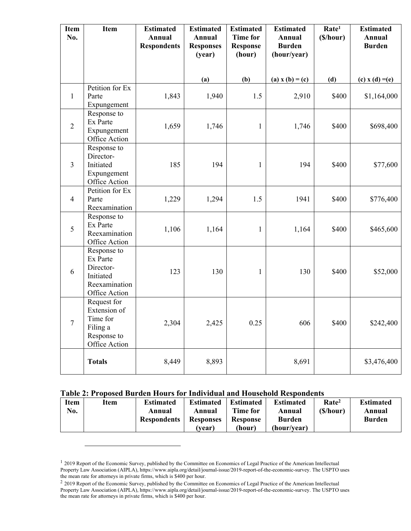| <b>Item</b><br>No. | Item                                                                                | <b>Estimated</b><br>Annual<br><b>Respondents</b> | <b>Estimated</b><br>Annual<br><b>Responses</b><br>(year) | <b>Estimated</b><br><b>Time for</b><br><b>Response</b><br>(hour) | <b>Estimated</b><br>Annual<br><b>Burden</b><br>(hour/year) | Rate <sup>1</sup><br>(S/hour) | <b>Estimated</b><br>Annual<br><b>Burden</b> |
|--------------------|-------------------------------------------------------------------------------------|--------------------------------------------------|----------------------------------------------------------|------------------------------------------------------------------|------------------------------------------------------------|-------------------------------|---------------------------------------------|
|                    |                                                                                     |                                                  | (a)                                                      | (b)                                                              | (a) $x(b) = (c)$                                           | (d)                           | (c) $x(d) = (e)$                            |
| $\mathbf{1}$       | Petition for Ex<br>Parte<br>Expungement                                             | 1,843                                            | 1,940                                                    | 1.5                                                              | 2,910                                                      | \$400                         | \$1,164,000                                 |
| $\overline{2}$     | Response to<br>Ex Parte<br>Expungement<br>Office Action                             | 1,659                                            | 1,746                                                    | $\mathbf{1}$                                                     | 1,746                                                      | \$400                         | \$698,400                                   |
| $\mathfrak{Z}$     | Response to<br>Director-<br>Initiated<br>Expungement<br>Office Action               | 185                                              | 194                                                      | $\mathbf{1}$                                                     | 194                                                        | \$400                         | \$77,600                                    |
| $\overline{4}$     | Petition for Ex<br>Parte<br>Reexamination                                           | 1,229                                            | 1,294                                                    | 1.5                                                              | 1941                                                       | \$400                         | \$776,400                                   |
| $\mathfrak{S}$     | Response to<br>Ex Parte<br>Reexamination<br>Office Action                           | 1,106                                            | 1,164                                                    | $\mathbf{1}$                                                     | 1,164                                                      | \$400                         | \$465,600                                   |
| 6                  | Response to<br>Ex Parte<br>Director-<br>Initiated<br>Reexamination<br>Office Action | 123                                              | 130                                                      | $\mathbf{1}$                                                     | 130                                                        | \$400                         | \$52,000                                    |
| $\tau$             | Request for<br>Extension of<br>Time for<br>Filing a<br>Response to<br>Office Action | 2,304                                            | 2,425                                                    | 0.25                                                             | 606                                                        | \$400                         | \$242,400                                   |
|                    | <b>Totals</b>                                                                       | 8,449                                            | 8,893                                                    |                                                                  | 8,691                                                      |                               | \$3,476,400                                 |

#### **Table 2: Proposed Burden Hours for Individual and Household Respondents**

| <b>Item</b> | Item | <b>Estimated</b>   | <b>Estimated</b> | <b>Estimated</b> | <b>Estimated</b> | Rate <sup>2</sup> | <b>Estimated</b> |
|-------------|------|--------------------|------------------|------------------|------------------|-------------------|------------------|
| No.         |      | Annual             | Annual           | Time for         | Annual           | (S/hour)          | Annual           |
|             |      | <b>Respondents</b> | <b>Responses</b> | <b>Response</b>  | <b>Burden</b>    |                   | <b>Burden</b>    |
|             |      |                    | (vear)           | (hour)           | (hour/vear)      |                   |                  |

<sup>&</sup>lt;sup>1</sup> 2019 Report of the Economic Survey, published by the Committee on Economics of Legal Practice of the American Intellectual Property Law Association (AIPLA), https://www.aipla.org/detail/journal-issue/2019-report-of-the-economic-survey. The USPTO uses the mean rate for attorneys in private firms, which is \$400 per hour.

 $2$  2019 Report of the Economic Survey, published by the Committee on Economics of Legal Practice of the American Intellectual Property Law Association (AIPLA), https://www.aipla.org/detail/journal-issue/2019-report-of-the-economic-survey. The USPTO uses the mean rate for attorneys in private firms, which is \$400 per hour.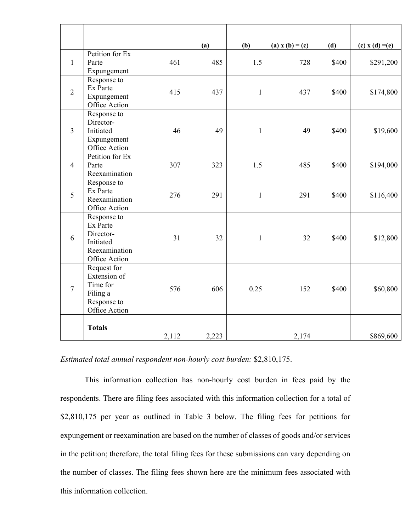|                |                                                                                     |       | (a)   | (b)          | (a) $x(b) = (c)$ | (d)   | (c) $x(d) = (e)$ |
|----------------|-------------------------------------------------------------------------------------|-------|-------|--------------|------------------|-------|------------------|
| $\mathbf{1}$   | Petition for Ex<br>Parte<br>Expungement                                             | 461   | 485   | 1.5          | 728              | \$400 | \$291,200        |
| $\overline{2}$ | Response to<br>Ex Parte<br>Expungement<br>Office Action                             | 415   | 437   | $\mathbf{1}$ | 437              | \$400 | \$174,800        |
| $\overline{3}$ | Response to<br>Director-<br>Initiated<br>Expungement<br>Office Action               | 46    | 49    | $\mathbf{1}$ | 49               | \$400 | \$19,600         |
| $\overline{4}$ | Petition for Ex<br>Parte<br>Reexamination                                           | 307   | 323   | 1.5          | 485              | \$400 | \$194,000        |
| 5              | Response to<br>Ex Parte<br>Reexamination<br>Office Action                           | 276   | 291   | $\mathbf{1}$ | 291              | \$400 | \$116,400        |
| 6              | Response to<br>Ex Parte<br>Director-<br>Initiated<br>Reexamination<br>Office Action | 31    | 32    | 1            | 32               | \$400 | \$12,800         |
| $\overline{7}$ | Request for<br>Extension of<br>Time for<br>Filing a<br>Response to<br>Office Action | 576   | 606   | 0.25         | 152              | \$400 | \$60,800         |
|                | <b>Totals</b>                                                                       | 2,112 | 2,223 |              | 2,174            |       | \$869,600        |

*Estimated total annual respondent non-hourly cost burden:* \$2,810,175.

This information collection has non-hourly cost burden in fees paid by the respondents. There are filing fees associated with this information collection for a total of \$2,810,175 per year as outlined in Table 3 below. The filing fees for petitions for expungement or reexamination are based on the number of classes of goods and/or services in the petition; therefore, the total filing fees for these submissions can vary depending on the number of classes. The filing fees shown here are the minimum fees associated with this information collection.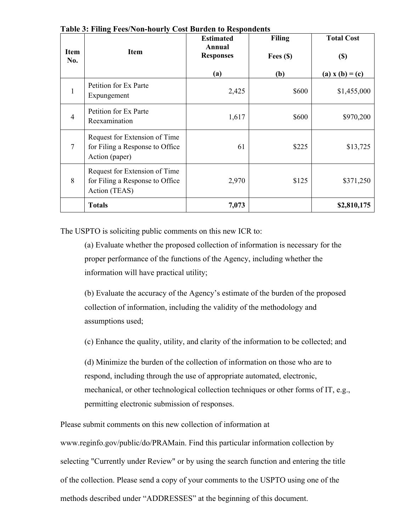| <b>Item</b><br>No. | Item                                                                               | <b>Estimated</b><br><b>Annual</b><br><b>Responses</b> | <b>Filing</b><br>Fees $(\$)$ | <b>Total Cost</b><br>$\left( \mathbb{S}\right)$ |
|--------------------|------------------------------------------------------------------------------------|-------------------------------------------------------|------------------------------|-------------------------------------------------|
| $\mathbf{1}$       | Petition for Ex Parte<br>Expungement                                               | (a)<br>2,425                                          | (b)<br>\$600                 | (a) $x(b) = (c)$<br>\$1,455,000                 |
| $\overline{4}$     | Petition for Ex Parte<br>Reexamination                                             | 1,617                                                 | \$600                        | \$970,200                                       |
| $\overline{7}$     | Request for Extension of Time<br>for Filing a Response to Office<br>Action (paper) | 61                                                    | \$225                        | \$13,725                                        |
| 8                  | Request for Extension of Time<br>for Filing a Response to Office<br>Action (TEAS)  | 2,970                                                 | \$125                        | \$371,250                                       |
|                    | <b>Totals</b>                                                                      | 7,073                                                 |                              | \$2,810,175                                     |

**Table 3: Filing Fees/Non-hourly Cost Burden to Respondents**

The USPTO is soliciting public comments on this new ICR to:

(a) Evaluate whether the proposed collection of information is necessary for the proper performance of the functions of the Agency, including whether the information will have practical utility;

(b) Evaluate the accuracy of the Agency's estimate of the burden of the proposed collection of information, including the validity of the methodology and assumptions used;

(c) Enhance the quality, utility, and clarity of the information to be collected; and

(d) Minimize the burden of the collection of information on those who are to respond, including through the use of appropriate automated, electronic, mechanical, or other technological collection techniques or other forms of IT, e.g., permitting electronic submission of responses.

Please submit comments on this new collection of information at

www.reginfo.gov/public/do/PRAMain. Find this particular information collection by selecting "Currently under Review" or by using the search function and entering the title of the collection. Please send a copy of your comments to the USPTO using one of the methods described under "ADDRESSES" at the beginning of this document.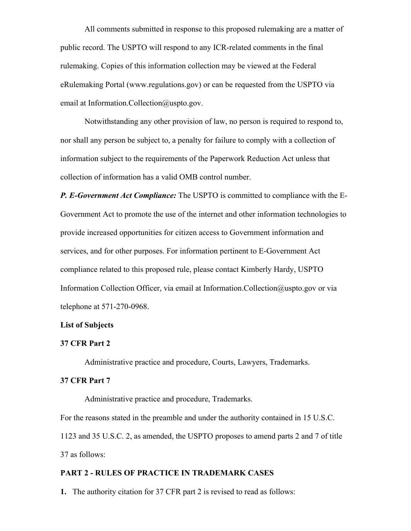All comments submitted in response to this proposed rulemaking are a matter of public record. The USPTO will respond to any ICR-related comments in the final rulemaking. Copies of this information collection may be viewed at the Federal eRulemaking Portal (www.regulations.gov) or can be requested from the USPTO via email at Information.Collection@uspto.gov.

Notwithstanding any other provision of law, no person is required to respond to, nor shall any person be subject to, a penalty for failure to comply with a collection of information subject to the requirements of the Paperwork Reduction Act unless that collection of information has a valid OMB control number.

*P. E-Government Act Compliance:* The USPTO is committed to compliance with the E-Government Act to promote the use of the internet and other information technologies to provide increased opportunities for citizen access to Government information and services, and for other purposes. For information pertinent to E-Government Act compliance related to this proposed rule, please contact Kimberly Hardy, USPTO Information Collection Officer, via email at Information.Collection@uspto.gov or via telephone at 571-270-0968.

# **List of Subjects**

#### **37 CFR Part 2**

Administrative practice and procedure, Courts, Lawyers, Trademarks.

#### **37 CFR Part 7**

Administrative practice and procedure, Trademarks. For the reasons stated in the preamble and under the authority contained in 15 U.S.C. 1123 and 35 U.S.C. 2, as amended, the USPTO proposes to amend parts 2 and 7 of title 37 as follows:

## **PART 2 - RULES OF PRACTICE IN TRADEMARK CASES**

**1.** The authority citation for 37 CFR part 2 is revised to read as follows: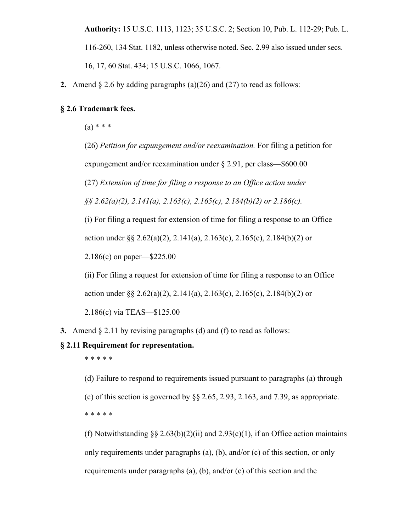**Authority:** 15 U.S.C. 1113, 1123; 35 U.S.C. 2; Section 10, Pub. L. 112-29; Pub. L. 116-260, 134 Stat. 1182, unless otherwise noted. Sec. 2.99 also issued under secs. 16, 17, 60 Stat. 434; 15 U.S.C. 1066, 1067.

**2.** Amend § 2.6 by adding paragraphs (a)(26) and (27) to read as follows:

### **§ 2.6 Trademark fees.**

 $(a) * * *$ 

(26) *Petition for expungement and/or reexamination.* For filing a petition for

expungement and/or reexamination under § 2.91, per class—\$600.00

(27) *Extension of time for filing a response to an Office action under* 

*§§ 2.62(a)(2), 2.141(a), 2.163(c), 2.165(c), 2.184(b)(2) or 2.186(c).* 

(i) For filing a request for extension of time for filing a response to an Office

action under §§ 2.62(a)(2), 2.141(a), 2.163(c), 2.165(c), 2.184(b)(2) or

2.186(c) on paper—\$225.00

(ii) For filing a request for extension of time for filing a response to an Office action under §§ 2.62(a)(2), 2.141(a), 2.163(c), 2.165(c), 2.184(b)(2) or

2.186(c) via TEAS—\$125.00

**3.** Amend § 2.11 by revising paragraphs (d) and (f) to read as follows:

#### **§ 2.11 Requirement for representation.**

\* \* \* \* \*

(d) Failure to respond to requirements issued pursuant to paragraphs (a) through (c) of this section is governed by  $\S$  2.65, 2.93, 2.163, and 7.39, as appropriate. \* \* \* \* \*

(f) Notwithstanding  $\S$ § 2.63(b)(2)(ii) and 2.93(c)(1), if an Office action maintains only requirements under paragraphs (a), (b), and/or (c) of this section, or only requirements under paragraphs (a), (b), and/or (c) of this section and the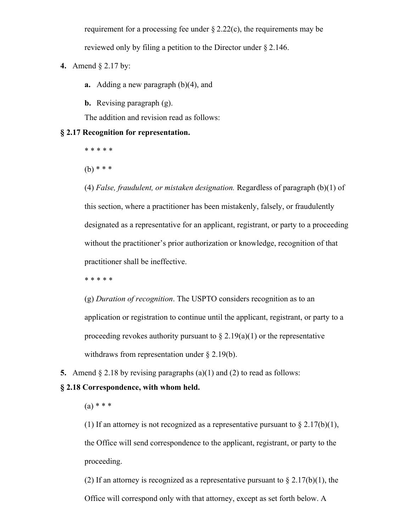requirement for a processing fee under  $\S 2.22(c)$ , the requirements may be reviewed only by filing a petition to the Director under § 2.146.

**4.** Amend § 2.17 by:

**a.** Adding a new paragraph (b)(4), and

**b.** Revising paragraph (g).

The addition and revision read as follows:

#### **§ 2.17 Recognition for representation.**

\* \* \* \* \*

(b) \* \* \*

(4) *False, fraudulent, or mistaken designation.* Regardless of paragraph (b)(1) of this section, where a practitioner has been mistakenly, falsely, or fraudulently designated as a representative for an applicant, registrant, or party to a proceeding without the practitioner's prior authorization or knowledge, recognition of that practitioner shall be ineffective.

\* \* \* \* \*

(g) *Duration of recognition*. The USPTO considers recognition as to an application or registration to continue until the applicant, registrant, or party to a proceeding revokes authority pursuant to  $\S 2.19(a)(1)$  or the representative withdraws from representation under § 2.19(b).

**5.** Amend § 2.18 by revising paragraphs (a)(1) and (2) to read as follows:

# **§ 2.18 Correspondence, with whom held.**

 $(a) * * * *$ 

(1) If an attorney is not recognized as a representative pursuant to  $\S 2.17(b)(1)$ , the Office will send correspondence to the applicant, registrant, or party to the proceeding.

(2) If an attorney is recognized as a representative pursuant to  $\S 2.17(b)(1)$ , the Office will correspond only with that attorney, except as set forth below. A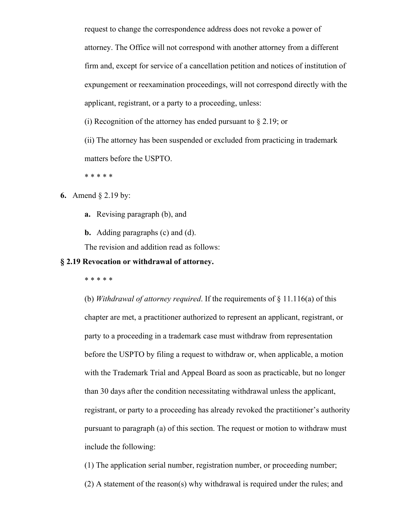request to change the correspondence address does not revoke a power of attorney. The Office will not correspond with another attorney from a different firm and, except for service of a cancellation petition and notices of institution of expungement or reexamination proceedings, will not correspond directly with the applicant, registrant, or a party to a proceeding, unless:

(i) Recognition of the attorney has ended pursuant to  $\S 2.19$ ; or

(ii) The attorney has been suspended or excluded from practicing in trademark matters before the USPTO.

\* \* \* \* \*

**6.** Amend § 2.19 by:

- **a.** Revising paragraph (b), and
- **b.** Adding paragraphs (c) and (d).

The revision and addition read as follows:

# **§ 2.19 Revocation or withdrawal of attorney.**

\* \* \* \* \*

(b) *Withdrawal of attorney required*. If the requirements of § 11.116(a) of this chapter are met, a practitioner authorized to represent an applicant, registrant, or party to a proceeding in a trademark case must withdraw from representation before the USPTO by filing a request to withdraw or, when applicable, a motion with the Trademark Trial and Appeal Board as soon as practicable, but no longer than 30 days after the condition necessitating withdrawal unless the applicant, registrant, or party to a proceeding has already revoked the practitioner's authority pursuant to paragraph (a) of this section. The request or motion to withdraw must include the following:

(1) The application serial number, registration number, or proceeding number; (2) A statement of the reason(s) why withdrawal is required under the rules; and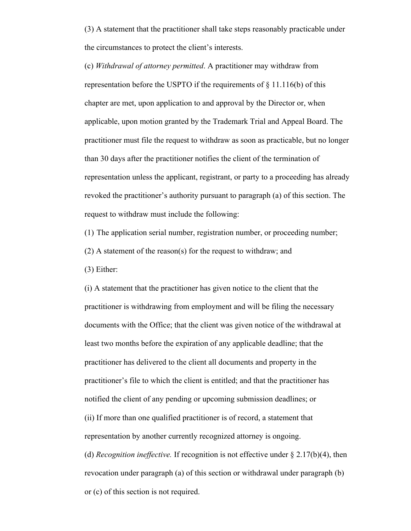(3) A statement that the practitioner shall take steps reasonably practicable under the circumstances to protect the client's interests.

(c) *Withdrawal of attorney permitted*. A practitioner may withdraw from representation before the USPTO if the requirements of  $\S$  11.116(b) of this chapter are met, upon application to and approval by the Director or, when applicable, upon motion granted by the Trademark Trial and Appeal Board. The practitioner must file the request to withdraw as soon as practicable, but no longer than 30 days after the practitioner notifies the client of the termination of representation unless the applicant, registrant, or party to a proceeding has already revoked the practitioner's authority pursuant to paragraph (a) of this section. The request to withdraw must include the following:

(1) The application serial number, registration number, or proceeding number;

(2) A statement of the reason(s) for the request to withdraw; and

(3) Either:

(i) A statement that the practitioner has given notice to the client that the practitioner is withdrawing from employment and will be filing the necessary documents with the Office; that the client was given notice of the withdrawal at least two months before the expiration of any applicable deadline; that the practitioner has delivered to the client all documents and property in the practitioner's file to which the client is entitled; and that the practitioner has notified the client of any pending or upcoming submission deadlines; or (ii) If more than one qualified practitioner is of record, a statement that representation by another currently recognized attorney is ongoing. (d) *Recognition ineffective.* If recognition is not effective under § 2.17(b)(4), then revocation under paragraph (a) of this section or withdrawal under paragraph (b)

or (c) of this section is not required.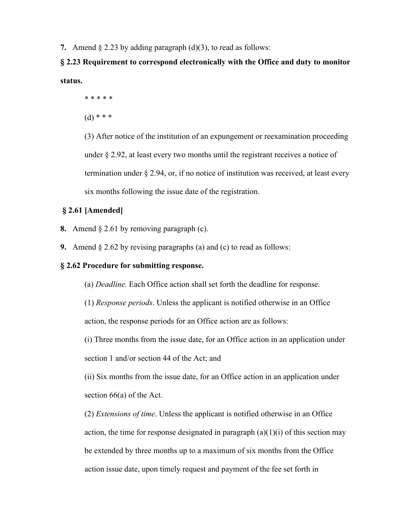**7.** Amend § 2.23 by adding paragraph (d)(3), to read as follows:

# **§ 2.23 Requirement to correspond electronically with the Office and duty to monitor status.**

\* \* \* \* \*

 $(d)$  \* \* \*

(3) After notice of the institution of an expungement or reexamination proceeding under § 2.92, at least every two months until the registrant receives a notice of termination under § 2.94, or, if no notice of institution was received, at least every six months following the issue date of the registration.

## **§ 2.61 [Amended]**

- **8.** Amend § 2.61 by removing paragraph (c).
- **9.** Amend § 2.62 by revising paragraphs (a) and (c) to read as follows:

# **§ 2.62 Procedure for submitting response.**

(a) *Deadline.* Each Office action shall set forth the deadline for response.

(1) *Response periods*. Unless the applicant is notified otherwise in an Office action, the response periods for an Office action are as follows:

(i) Three months from the issue date, for an Office action in an application under section 1 and/or section 44 of the Act; and

(ii) Six months from the issue date, for an Office action in an application under section 66(a) of the Act.

(2) *Extensions of time*. Unless the applicant is notified otherwise in an Office action, the time for response designated in paragraph  $(a)(1)(i)$  of this section may be extended by three months up to a maximum of six months from the Office action issue date, upon timely request and payment of the fee set forth in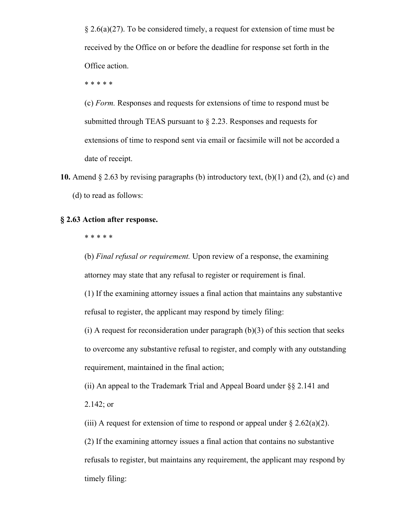§ 2.6(a)(27). To be considered timely, a request for extension of time must be received by the Office on or before the deadline for response set forth in the Office action.

\* \* \* \* \*

(c) *Form.* Responses and requests for extensions of time to respond must be submitted through TEAS pursuant to § 2.23. Responses and requests for extensions of time to respond sent via email or facsimile will not be accorded a date of receipt.

**10.** Amend § 2.63 by revising paragraphs (b) introductory text, (b)(1) and (2), and (c) and (d) to read as follows:

## **§ 2.63 Action after response.**

\* \* \* \* \*

(b) *Final refusal or requirement.* Upon review of a response, the examining attorney may state that any refusal to register or requirement is final.

(1) If the examining attorney issues a final action that maintains any substantive refusal to register, the applicant may respond by timely filing:

(i) A request for reconsideration under paragraph  $(b)(3)$  of this section that seeks to overcome any substantive refusal to register, and comply with any outstanding requirement, maintained in the final action;

(ii) An appeal to the Trademark Trial and Appeal Board under §§ 2.141 and 2.142; or

(iii) A request for extension of time to respond or appeal under  $\S 2.62(a)(2)$ .

(2) If the examining attorney issues a final action that contains no substantive refusals to register, but maintains any requirement, the applicant may respond by timely filing: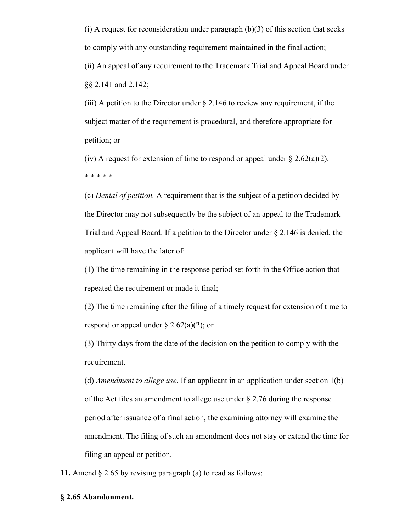$(i)$  A request for reconsideration under paragraph  $(b)(3)$  of this section that seeks to comply with any outstanding requirement maintained in the final action; (ii) An appeal of any requirement to the Trademark Trial and Appeal Board under §§ 2.141 and 2.142;

(iii) A petition to the Director under  $\S 2.146$  to review any requirement, if the subject matter of the requirement is procedural, and therefore appropriate for petition; or

(iv) A request for extension of time to respond or appeal under  $\S 2.62(a)(2)$ . \* \* \* \* \*

(c) *Denial of petition.* A requirement that is the subject of a petition decided by the Director may not subsequently be the subject of an appeal to the Trademark Trial and Appeal Board. If a petition to the Director under § 2.146 is denied, the applicant will have the later of:

(1) The time remaining in the response period set forth in the Office action that repeated the requirement or made it final;

(2) The time remaining after the filing of a timely request for extension of time to respond or appeal under  $\S$  2.62(a)(2); or

(3) Thirty days from the date of the decision on the petition to comply with the requirement.

(d) *Amendment to allege use.* If an applicant in an application under section 1(b) of the Act files an amendment to allege use under  $\S 2.76$  during the response period after issuance of a final action, the examining attorney will examine the amendment. The filing of such an amendment does not stay or extend the time for filing an appeal or petition.

**11.** Amend § 2.65 by revising paragraph (a) to read as follows:

#### **§ 2.65 Abandonment.**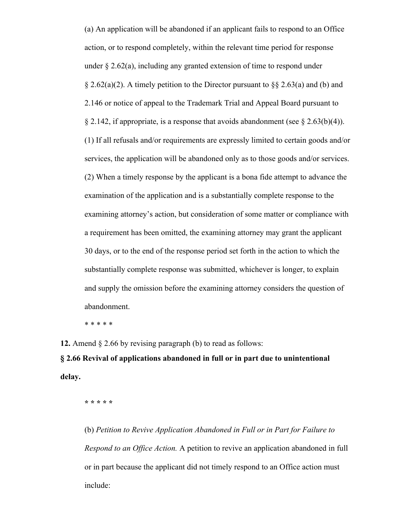(a) An application will be abandoned if an applicant fails to respond to an Office action, or to respond completely, within the relevant time period for response under  $\S 2.62(a)$ , including any granted extension of time to respond under  $\S 2.62(a)(2)$ . A timely petition to the Director pursuant to  $\S § 2.63(a)$  and (b) and 2.146 or notice of appeal to the Trademark Trial and Appeal Board pursuant to § 2.142, if appropriate, is a response that avoids abandonment (see § 2.63(b)(4)). (1) If all refusals and/or requirements are expressly limited to certain goods and/or services, the application will be abandoned only as to those goods and/or services. (2) When a timely response by the applicant is a bona fide attempt to advance the examination of the application and is a substantially complete response to the examining attorney's action, but consideration of some matter or compliance with a requirement has been omitted, the examining attorney may grant the applicant 30 days, or to the end of the response period set forth in the action to which the substantially complete response was submitted, whichever is longer, to explain and supply the omission before the examining attorney considers the question of abandonment.

\* \* \* \* \*

**12.** Amend § 2.66 by revising paragraph (b) to read as follows:

**§ 2.66 Revival of applications abandoned in full or in part due to unintentional delay.**

**\* \* \* \* \***

(b) *Petition to Revive Application Abandoned in Full or in Part for Failure to Respond to an Office Action.* A petition to revive an application abandoned in full or in part because the applicant did not timely respond to an Office action must include: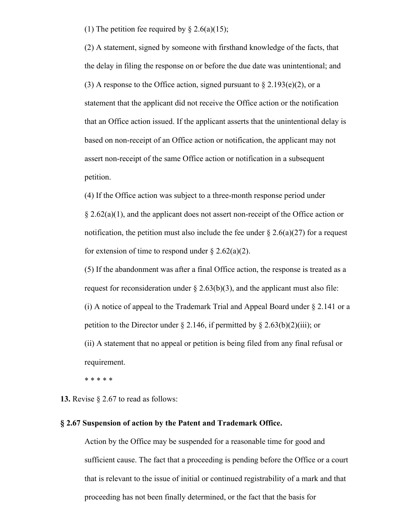(1) The petition fee required by  $\S 2.6(a)(15)$ ;

(2) A statement, signed by someone with firsthand knowledge of the facts, that the delay in filing the response on or before the due date was unintentional; and (3) A response to the Office action, signed pursuant to  $\S 2.193(e)(2)$ , or a statement that the applicant did not receive the Office action or the notification that an Office action issued. If the applicant asserts that the unintentional delay is based on non-receipt of an Office action or notification, the applicant may not assert non-receipt of the same Office action or notification in a subsequent petition.

(4) If the Office action was subject to a three-month response period under  $\S 2.62(a)(1)$ , and the applicant does not assert non-receipt of the Office action or notification, the petition must also include the fee under  $\S 2.6(a)(27)$  for a request for extension of time to respond under  $\S 2.62(a)(2)$ .

(5) If the abandonment was after a final Office action, the response is treated as a request for reconsideration under  $\S 2.63(b)(3)$ , and the applicant must also file: (i) A notice of appeal to the Trademark Trial and Appeal Board under § 2.141 or a petition to the Director under  $\S 2.146$ , if permitted by  $\S 2.63(b)(2)(iii)$ ; or (ii) A statement that no appeal or petition is being filed from any final refusal or requirement.

\* \* \* \* \*

**13.** Revise § 2.67 to read as follows:

#### **§ 2.67 Suspension of action by the Patent and Trademark Office.**

Action by the Office may be suspended for a reasonable time for good and sufficient cause. The fact that a proceeding is pending before the Office or a court that is relevant to the issue of initial or continued registrability of a mark and that proceeding has not been finally determined, or the fact that the basis for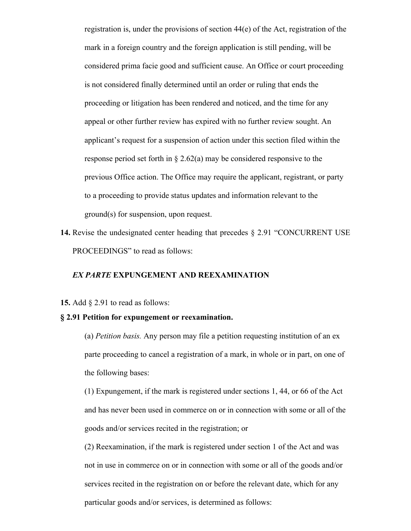registration is, under the provisions of section 44(e) of the Act, registration of the mark in a foreign country and the foreign application is still pending, will be considered prima facie good and sufficient cause. An Office or court proceeding is not considered finally determined until an order or ruling that ends the proceeding or litigation has been rendered and noticed, and the time for any appeal or other further review has expired with no further review sought. An applicant's request for a suspension of action under this section filed within the response period set forth in  $\S 2.62(a)$  may be considered responsive to the previous Office action. The Office may require the applicant, registrant, or party to a proceeding to provide status updates and information relevant to the ground(s) for suspension, upon request.

**14.** Revise the undesignated center heading that precedes § 2.91 "CONCURRENT USE PROCEEDINGS" to read as follows:

#### *EX PARTE* **EXPUNGEMENT AND REEXAMINATION**

#### **15.** Add § 2.91 to read as follows:

#### **§ 2.91 Petition for expungement or reexamination.**

(a) *Petition basis.* Any person may file a petition requesting institution of an ex parte proceeding to cancel a registration of a mark, in whole or in part, on one of the following bases:

(1) Expungement, if the mark is registered under sections 1, 44, or 66 of the Act and has never been used in commerce on or in connection with some or all of the goods and/or services recited in the registration; or

(2) Reexamination, if the mark is registered under section 1 of the Act and was not in use in commerce on or in connection with some or all of the goods and/or services recited in the registration on or before the relevant date, which for any particular goods and/or services, is determined as follows: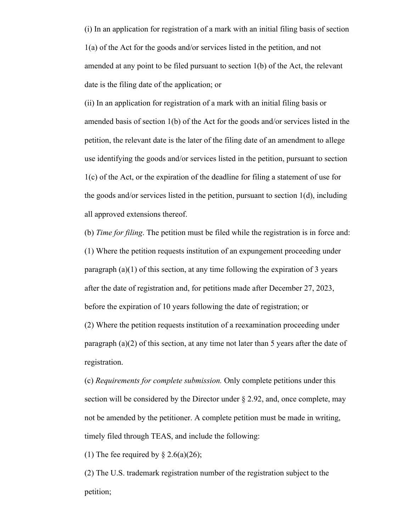(i) In an application for registration of a mark with an initial filing basis of section 1(a) of the Act for the goods and/or services listed in the petition, and not amended at any point to be filed pursuant to section 1(b) of the Act, the relevant date is the filing date of the application; or

(ii) In an application for registration of a mark with an initial filing basis or amended basis of section 1(b) of the Act for the goods and/or services listed in the petition, the relevant date is the later of the filing date of an amendment to allege use identifying the goods and/or services listed in the petition, pursuant to section 1(c) of the Act, or the expiration of the deadline for filing a statement of use for the goods and/or services listed in the petition, pursuant to section 1(d), including all approved extensions thereof.

(b) *Time for filing*. The petition must be filed while the registration is in force and: (1) Where the petition requests institution of an expungement proceeding under paragraph (a)(1) of this section, at any time following the expiration of 3 years after the date of registration and, for petitions made after December 27, 2023, before the expiration of 10 years following the date of registration; or (2) Where the petition requests institution of a reexamination proceeding under paragraph (a)(2) of this section, at any time not later than 5 years after the date of

registration.

(c) *Requirements for complete submission.* Only complete petitions under this section will be considered by the Director under § 2.92, and, once complete, may not be amended by the petitioner. A complete petition must be made in writing, timely filed through TEAS, and include the following:

(1) The fee required by  $\S 2.6(a)(26)$ ;

(2) The U.S. trademark registration number of the registration subject to the petition;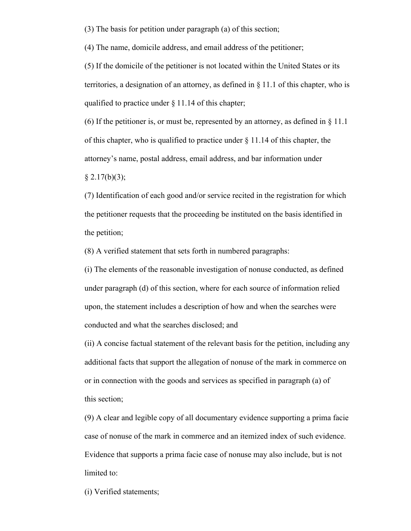(3) The basis for petition under paragraph (a) of this section;

(4) The name, domicile address, and email address of the petitioner;

(5) If the domicile of the petitioner is not located within the United States or its territories, a designation of an attorney, as defined in § 11.1 of this chapter, who is qualified to practice under § 11.14 of this chapter;

(6) If the petitioner is, or must be, represented by an attorney, as defined in  $\S 11.1$ of this chapter, who is qualified to practice under § 11.14 of this chapter, the attorney's name, postal address, email address, and bar information under

 $§$  2.17(b)(3);

(7) Identification of each good and/or service recited in the registration for which the petitioner requests that the proceeding be instituted on the basis identified in the petition;

(8) A verified statement that sets forth in numbered paragraphs:

(i) The elements of the reasonable investigation of nonuse conducted, as defined under paragraph (d) of this section, where for each source of information relied upon, the statement includes a description of how and when the searches were conducted and what the searches disclosed; and

(ii) A concise factual statement of the relevant basis for the petition, including any additional facts that support the allegation of nonuse of the mark in commerce on or in connection with the goods and services as specified in paragraph (a) of this section;

(9) A clear and legible copy of all documentary evidence supporting a prima facie case of nonuse of the mark in commerce and an itemized index of such evidence. Evidence that supports a prima facie case of nonuse may also include, but is not limited to:

(i) Verified statements;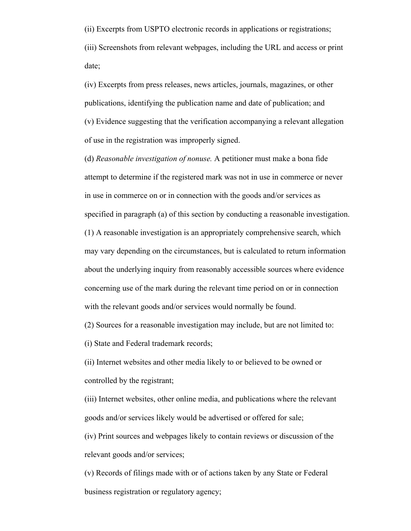(ii) Excerpts from USPTO electronic records in applications or registrations; (iii) Screenshots from relevant webpages, including the URL and access or print date;

(iv) Excerpts from press releases, news articles, journals, magazines, or other publications, identifying the publication name and date of publication; and (v) Evidence suggesting that the verification accompanying a relevant allegation of use in the registration was improperly signed.

(d) *Reasonable investigation of nonuse.* A petitioner must make a bona fide attempt to determine if the registered mark was not in use in commerce or never in use in commerce on or in connection with the goods and/or services as specified in paragraph (a) of this section by conducting a reasonable investigation. (1) A reasonable investigation is an appropriately comprehensive search, which may vary depending on the circumstances, but is calculated to return information about the underlying inquiry from reasonably accessible sources where evidence concerning use of the mark during the relevant time period on or in connection with the relevant goods and/or services would normally be found.

(2) Sources for a reasonable investigation may include, but are not limited to:

(i) State and Federal trademark records;

(ii) Internet websites and other media likely to or believed to be owned or controlled by the registrant;

(iii) Internet websites, other online media, and publications where the relevant goods and/or services likely would be advertised or offered for sale;

(iv) Print sources and webpages likely to contain reviews or discussion of the relevant goods and/or services;

(v) Records of filings made with or of actions taken by any State or Federal business registration or regulatory agency;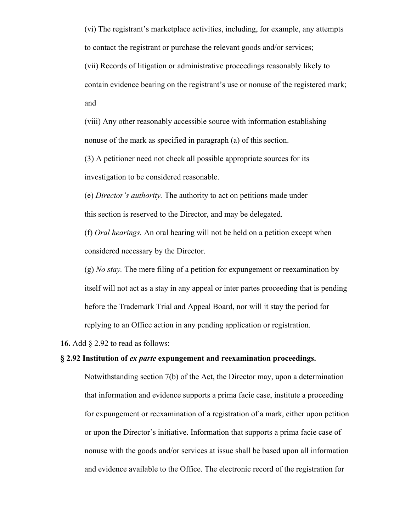(vi) The registrant's marketplace activities, including, for example, any attempts to contact the registrant or purchase the relevant goods and/or services; (vii) Records of litigation or administrative proceedings reasonably likely to contain evidence bearing on the registrant's use or nonuse of the registered mark; and

(viii) Any other reasonably accessible source with information establishing nonuse of the mark as specified in paragraph (a) of this section.

(3) A petitioner need not check all possible appropriate sources for its investigation to be considered reasonable.

(e) *Director's authority.* The authority to act on petitions made under this section is reserved to the Director, and may be delegated.

(f) *Oral hearings.* An oral hearing will not be held on a petition except when considered necessary by the Director.

(g) *No stay.* The mere filing of a petition for expungement or reexamination by itself will not act as a stay in any appeal or inter partes proceeding that is pending before the Trademark Trial and Appeal Board, nor will it stay the period for replying to an Office action in any pending application or registration.

**16.** Add § 2.92 to read as follows:

# **§ 2.92 Institution of** *ex parte* **expungement and reexamination proceedings.**

Notwithstanding section 7(b) of the Act, the Director may, upon a determination that information and evidence supports a prima facie case, institute a proceeding for expungement or reexamination of a registration of a mark, either upon petition or upon the Director's initiative. Information that supports a prima facie case of nonuse with the goods and/or services at issue shall be based upon all information and evidence available to the Office. The electronic record of the registration for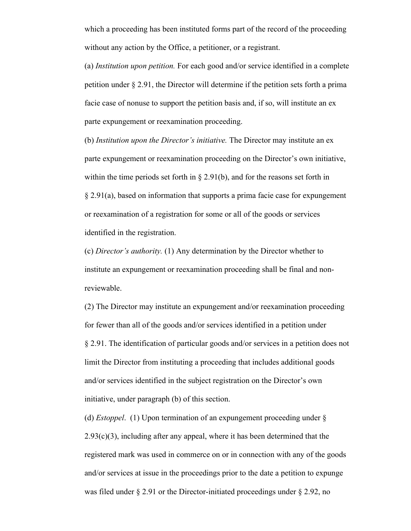which a proceeding has been instituted forms part of the record of the proceeding without any action by the Office, a petitioner, or a registrant.

(a) *Institution upon petition.* For each good and/or service identified in a complete petition under § 2.91, the Director will determine if the petition sets forth a prima facie case of nonuse to support the petition basis and, if so, will institute an ex parte expungement or reexamination proceeding.

(b) *Institution upon the Director's initiative.* The Director may institute an ex parte expungement or reexamination proceeding on the Director's own initiative, within the time periods set forth in  $\S 2.91(b)$ , and for the reasons set forth in § 2.91(a), based on information that supports a prima facie case for expungement or reexamination of a registration for some or all of the goods or services identified in the registration.

(c) *Director's authority.* (1) Any determination by the Director whether to institute an expungement or reexamination proceeding shall be final and nonreviewable.

(2) The Director may institute an expungement and/or reexamination proceeding for fewer than all of the goods and/or services identified in a petition under § 2.91. The identification of particular goods and/or services in a petition does not limit the Director from instituting a proceeding that includes additional goods and/or services identified in the subject registration on the Director's own initiative, under paragraph (b) of this section.

(d) *Estoppel*. (1) Upon termination of an expungement proceeding under §  $2.93(c)(3)$ , including after any appeal, where it has been determined that the registered mark was used in commerce on or in connection with any of the goods and/or services at issue in the proceedings prior to the date a petition to expunge was filed under § 2.91 or the Director-initiated proceedings under § 2.92, no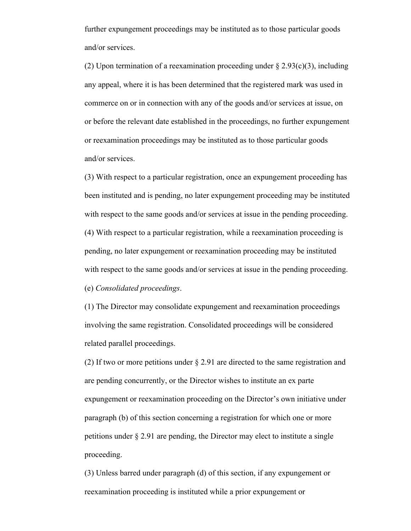further expungement proceedings may be instituted as to those particular goods and/or services.

(2) Upon termination of a reexamination proceeding under  $\S 2.93(c)(3)$ , including any appeal, where it is has been determined that the registered mark was used in commerce on or in connection with any of the goods and/or services at issue, on or before the relevant date established in the proceedings, no further expungement or reexamination proceedings may be instituted as to those particular goods and/or services.

(3) With respect to a particular registration, once an expungement proceeding has been instituted and is pending, no later expungement proceeding may be instituted with respect to the same goods and/or services at issue in the pending proceeding. (4) With respect to a particular registration, while a reexamination proceeding is pending, no later expungement or reexamination proceeding may be instituted with respect to the same goods and/or services at issue in the pending proceeding. (e) *Consolidated proceedings*.

(1) The Director may consolidate expungement and reexamination proceedings involving the same registration. Consolidated proceedings will be considered related parallel proceedings.

(2) If two or more petitions under § 2.91 are directed to the same registration and are pending concurrently, or the Director wishes to institute an ex parte expungement or reexamination proceeding on the Director's own initiative under paragraph (b) of this section concerning a registration for which one or more petitions under § 2.91 are pending, the Director may elect to institute a single proceeding.

(3) Unless barred under paragraph (d) of this section, if any expungement or reexamination proceeding is instituted while a prior expungement or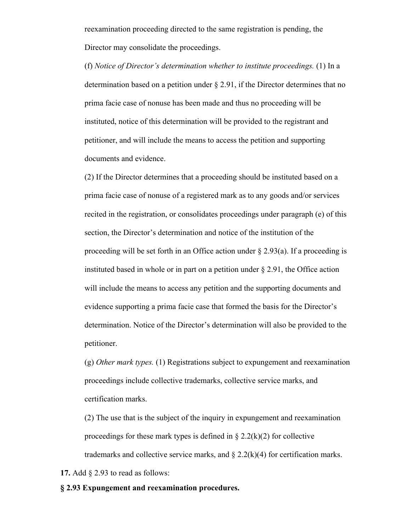reexamination proceeding directed to the same registration is pending, the Director may consolidate the proceedings.

(f) *Notice of Director's determination whether to institute proceedings.* (1) In a determination based on a petition under § 2.91, if the Director determines that no prima facie case of nonuse has been made and thus no proceeding will be instituted, notice of this determination will be provided to the registrant and petitioner, and will include the means to access the petition and supporting documents and evidence.

(2) If the Director determines that a proceeding should be instituted based on a prima facie case of nonuse of a registered mark as to any goods and/or services recited in the registration, or consolidates proceedings under paragraph (e) of this section, the Director's determination and notice of the institution of the proceeding will be set forth in an Office action under  $\S 2.93(a)$ . If a proceeding is instituted based in whole or in part on a petition under  $\S 2.91$ , the Office action will include the means to access any petition and the supporting documents and evidence supporting a prima facie case that formed the basis for the Director's determination. Notice of the Director's determination will also be provided to the petitioner.

(g) *Other mark types.* (1) Registrations subject to expungement and reexamination proceedings include collective trademarks, collective service marks, and certification marks.

(2) The use that is the subject of the inquiry in expungement and reexamination proceedings for these mark types is defined in  $\S 2.2(k)(2)$  for collective trademarks and collective service marks, and  $\S 2.2(k)(4)$  for certification marks.

**17.** Add § 2.93 to read as follows:

#### **§ 2.93 Expungement and reexamination procedures.**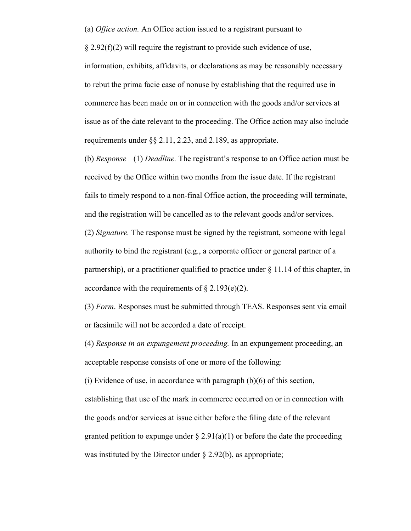(a) *Office action.* An Office action issued to a registrant pursuant to

 $\S 2.92(f)(2)$  will require the registrant to provide such evidence of use, information, exhibits, affidavits, or declarations as may be reasonably necessary to rebut the prima facie case of nonuse by establishing that the required use in commerce has been made on or in connection with the goods and/or services at issue as of the date relevant to the proceeding. The Office action may also include requirements under §§ 2.11, 2.23, and 2.189, as appropriate.

(b) *Response—*(1) *Deadline.* The registrant's response to an Office action must be received by the Office within two months from the issue date. If the registrant fails to timely respond to a non-final Office action, the proceeding will terminate, and the registration will be cancelled as to the relevant goods and/or services. (2) *Signature.* The response must be signed by the registrant, someone with legal authority to bind the registrant (e.g., a corporate officer or general partner of a partnership), or a practitioner qualified to practice under  $\S 11.14$  of this chapter, in accordance with the requirements of  $\S 2.193(e)(2)$ .

(3) *Form*. Responses must be submitted through TEAS. Responses sent via email or facsimile will not be accorded a date of receipt.

(4) *Response in an expungement proceeding.* In an expungement proceeding, an acceptable response consists of one or more of the following:

(i) Evidence of use, in accordance with paragraph  $(b)(6)$  of this section, establishing that use of the mark in commerce occurred on or in connection with the goods and/or services at issue either before the filing date of the relevant granted petition to expunge under  $\S 2.91(a)(1)$  or before the date the proceeding was instituted by the Director under § 2.92(b), as appropriate;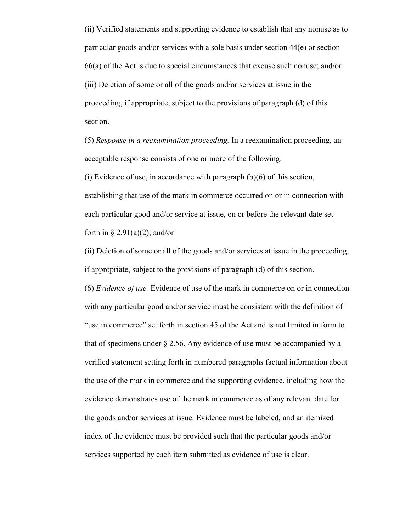(ii) Verified statements and supporting evidence to establish that any nonuse as to particular goods and/or services with a sole basis under section 44(e) or section 66(a) of the Act is due to special circumstances that excuse such nonuse; and/or (iii) Deletion of some or all of the goods and/or services at issue in the proceeding, if appropriate, subject to the provisions of paragraph (d) of this section.

(5) *Response in a reexamination proceeding.* In a reexamination proceeding, an acceptable response consists of one or more of the following: (i) Evidence of use, in accordance with paragraph  $(b)(6)$  of this section, establishing that use of the mark in commerce occurred on or in connection with each particular good and/or service at issue, on or before the relevant date set forth in  $\S 2.91(a)(2)$ ; and/or

(ii) Deletion of some or all of the goods and/or services at issue in the proceeding, if appropriate, subject to the provisions of paragraph (d) of this section.

(6) *Evidence of use.* Evidence of use of the mark in commerce on or in connection with any particular good and/or service must be consistent with the definition of "use in commerce" set forth in section 45 of the Act and is not limited in form to that of specimens under § 2.56. Any evidence of use must be accompanied by a verified statement setting forth in numbered paragraphs factual information about the use of the mark in commerce and the supporting evidence, including how the evidence demonstrates use of the mark in commerce as of any relevant date for the goods and/or services at issue. Evidence must be labeled, and an itemized index of the evidence must be provided such that the particular goods and/or services supported by each item submitted as evidence of use is clear.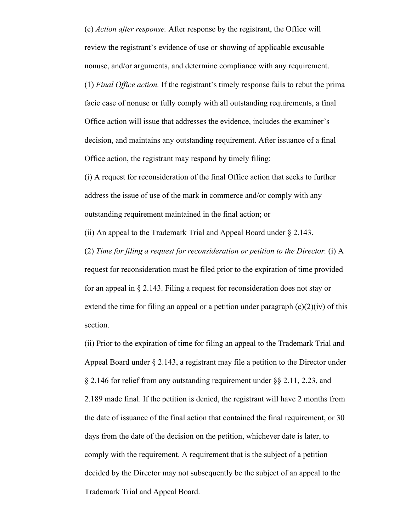(c) *Action after response.* After response by the registrant, the Office will review the registrant's evidence of use or showing of applicable excusable nonuse, and/or arguments, and determine compliance with any requirement. (1) *Final Office action.* If the registrant's timely response fails to rebut the prima facie case of nonuse or fully comply with all outstanding requirements, a final Office action will issue that addresses the evidence, includes the examiner's decision, and maintains any outstanding requirement. After issuance of a final Office action, the registrant may respond by timely filing:

(i) A request for reconsideration of the final Office action that seeks to further address the issue of use of the mark in commerce and/or comply with any outstanding requirement maintained in the final action; or

(ii) An appeal to the Trademark Trial and Appeal Board under § 2.143.

(2) *Time for filing a request for reconsideration or petition to the Director.* (i) A request for reconsideration must be filed prior to the expiration of time provided for an appeal in § 2.143. Filing a request for reconsideration does not stay or extend the time for filing an appeal or a petition under paragraph  $(c)(2)(iv)$  of this section.

(ii) Prior to the expiration of time for filing an appeal to the Trademark Trial and Appeal Board under § 2.143, a registrant may file a petition to the Director under § 2.146 for relief from any outstanding requirement under §§ 2.11, 2.23, and 2.189 made final. If the petition is denied, the registrant will have 2 months from the date of issuance of the final action that contained the final requirement, or 30 days from the date of the decision on the petition, whichever date is later, to comply with the requirement. A requirement that is the subject of a petition decided by the Director may not subsequently be the subject of an appeal to the Trademark Trial and Appeal Board.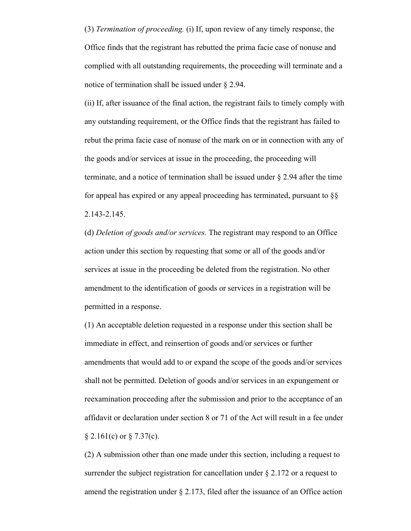(3) *Termination of proceeding.* (i) If, upon review of any timely response, the Office finds that the registrant has rebutted the prima facie case of nonuse and complied with all outstanding requirements, the proceeding will terminate and a notice of termination shall be issued under § 2.94.

(ii) If, after issuance of the final action, the registrant fails to timely comply with any outstanding requirement, or the Office finds that the registrant has failed to rebut the prima facie case of nonuse of the mark on or in connection with any of the goods and/or services at issue in the proceeding, the proceeding will terminate, and a notice of termination shall be issued under § 2.94 after the time for appeal has expired or any appeal proceeding has terminated, pursuant to §§ 2.143-2.145.

(d) *Deletion of goods and/or services.* The registrant may respond to an Office action under this section by requesting that some or all of the goods and/or services at issue in the proceeding be deleted from the registration. No other amendment to the identification of goods or services in a registration will be permitted in a response.

(1) An acceptable deletion requested in a response under this section shall be immediate in effect, and reinsertion of goods and/or services or further amendments that would add to or expand the scope of the goods and/or services shall not be permitted. Deletion of goods and/or services in an expungement or reexamination proceeding after the submission and prior to the acceptance of an affidavit or declaration under section 8 or 71 of the Act will result in a fee under  $§ 2.161(c)$  or  $§ 7.37(c)$ .

(2) A submission other than one made under this section, including a request to surrender the subject registration for cancellation under  $\S 2.172$  or a request to amend the registration under  $\S 2.173$ , filed after the issuance of an Office action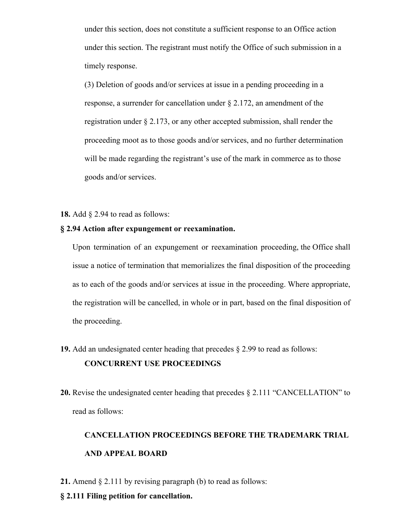under this section, does not constitute a sufficient response to an Office action under this section. The registrant must notify the Office of such submission in a timely response.

(3) Deletion of goods and/or services at issue in a pending proceeding in a response, a surrender for cancellation under § 2.172, an amendment of the registration under § 2.173, or any other accepted submission, shall render the proceeding moot as to those goods and/or services, and no further determination will be made regarding the registrant's use of the mark in commerce as to those goods and/or services.

**18.** Add § 2.94 to read as follows:

### **§ 2.94 Action after expungement or reexamination.**

Upon termination of an expungement or reexamination proceeding, the Office shall issue a notice of termination that memorializes the final disposition of the proceeding as to each of the goods and/or services at issue in the proceeding. Where appropriate, the registration will be cancelled, in whole or in part, based on the final disposition of the proceeding.

- **19.** Add an undesignated center heading that precedes § 2.99 to read as follows: **CONCURRENT USE PROCEEDINGS**
- **20.** Revise the undesignated center heading that precedes § 2.111 "CANCELLATION" to read as follows:

# **CANCELLATION PROCEEDINGS BEFORE THE TRADEMARK TRIAL AND APPEAL BOARD**

- **21.** Amend § 2.111 by revising paragraph (b) to read as follows:
- **§ 2.111 Filing petition for cancellation.**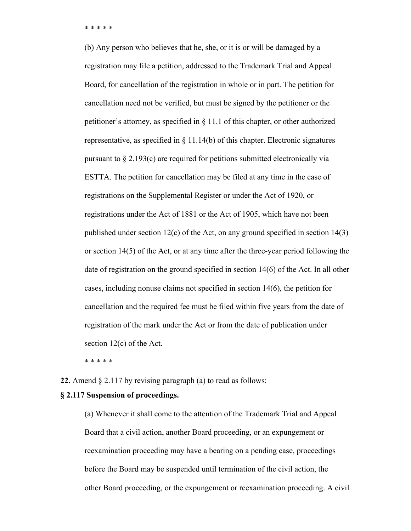\* \* \* \* \*

(b) Any person who believes that he, she, or it is or will be damaged by a registration may file a petition, addressed to the Trademark Trial and Appeal Board, for cancellation of the registration in whole or in part. The petition for cancellation need not be verified, but must be signed by the petitioner or the petitioner's attorney, as specified in § 11.1 of this chapter, or other authorized representative, as specified in § 11.14(b) of this chapter. Electronic signatures pursuant to § 2.193(c) are required for petitions submitted electronically via ESTTA. The petition for cancellation may be filed at any time in the case of registrations on the Supplemental Register or under the Act of 1920, or registrations under the Act of 1881 or the Act of 1905, which have not been published under section 12(c) of the Act, on any ground specified in section 14(3) or section 14(5) of the Act, or at any time after the three-year period following the date of registration on the ground specified in section 14(6) of the Act. In all other cases, including nonuse claims not specified in section 14(6), the petition for cancellation and the required fee must be filed within five years from the date of registration of the mark under the Act or from the date of publication under section 12(c) of the Act.

\* \* \* \* \*

**22.** Amend § 2.117 by revising paragraph (a) to read as follows:

#### **§ 2.117 Suspension of proceedings.**

(a) Whenever it shall come to the attention of the Trademark Trial and Appeal Board that a civil action, another Board proceeding, or an expungement or reexamination proceeding may have a bearing on a pending case, proceedings before the Board may be suspended until termination of the civil action, the other Board proceeding, or the expungement or reexamination proceeding. A civil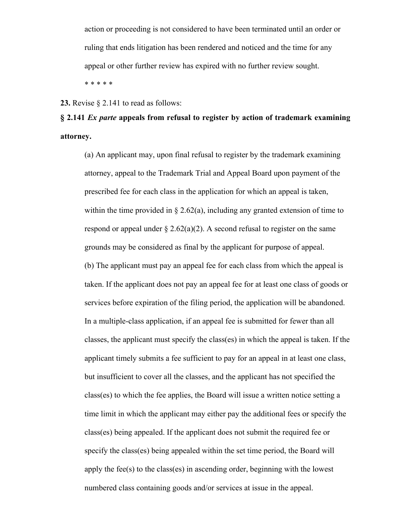action or proceeding is not considered to have been terminated until an order or ruling that ends litigation has been rendered and noticed and the time for any appeal or other further review has expired with no further review sought. \* \* \* \* \*

**23.** Revise § 2.141 to read as follows:

**§ 2.141** *Ex parte* **appeals from refusal to register by action of trademark examining attorney.**

(a) An applicant may, upon final refusal to register by the trademark examining attorney, appeal to the Trademark Trial and Appeal Board upon payment of the prescribed fee for each class in the application for which an appeal is taken, within the time provided in  $\S 2.62(a)$ , including any granted extension of time to respond or appeal under  $\S 2.62(a)(2)$ . A second refusal to register on the same grounds may be considered as final by the applicant for purpose of appeal. (b) The applicant must pay an appeal fee for each class from which the appeal is taken. If the applicant does not pay an appeal fee for at least one class of goods or services before expiration of the filing period, the application will be abandoned. In a multiple-class application, if an appeal fee is submitted for fewer than all classes, the applicant must specify the class(es) in which the appeal is taken. If the applicant timely submits a fee sufficient to pay for an appeal in at least one class, but insufficient to cover all the classes, and the applicant has not specified the class(es) to which the fee applies, the Board will issue a written notice setting a time limit in which the applicant may either pay the additional fees or specify the class(es) being appealed. If the applicant does not submit the required fee or specify the class(es) being appealed within the set time period, the Board will apply the fee(s) to the class(es) in ascending order, beginning with the lowest numbered class containing goods and/or services at issue in the appeal.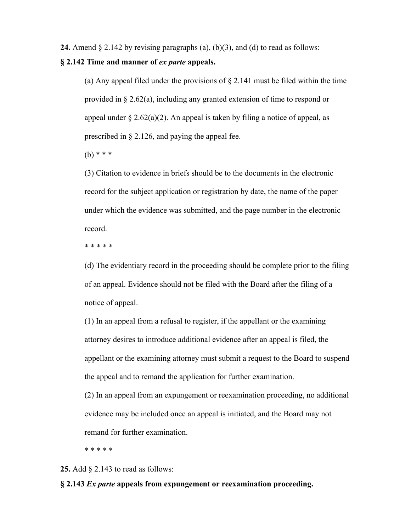**24.** Amend § 2.142 by revising paragraphs (a), (b)(3), and (d) to read as follows:

#### **§ 2.142 Time and manner of** *ex parte* **appeals.**

(a) Any appeal filed under the provisions of  $\S 2.141$  must be filed within the time provided in § 2.62(a), including any granted extension of time to respond or appeal under  $\S 2.62(a)(2)$ . An appeal is taken by filing a notice of appeal, as prescribed in § 2.126, and paying the appeal fee.

 $(b)$  \* \* \*

(3) Citation to evidence in briefs should be to the documents in the electronic record for the subject application or registration by date, the name of the paper under which the evidence was submitted, and the page number in the electronic record.

\* \* \* \* \*

(d) The evidentiary record in the proceeding should be complete prior to the filing of an appeal. Evidence should not be filed with the Board after the filing of a notice of appeal.

(1) In an appeal from a refusal to register, if the appellant or the examining attorney desires to introduce additional evidence after an appeal is filed, the appellant or the examining attorney must submit a request to the Board to suspend the appeal and to remand the application for further examination.

(2) In an appeal from an expungement or reexamination proceeding, no additional evidence may be included once an appeal is initiated, and the Board may not remand for further examination.

\* \* \* \* \*

#### **25.** Add § 2.143 to read as follows:

### **§ 2.143** *Ex parte* **appeals from expungement or reexamination proceeding.**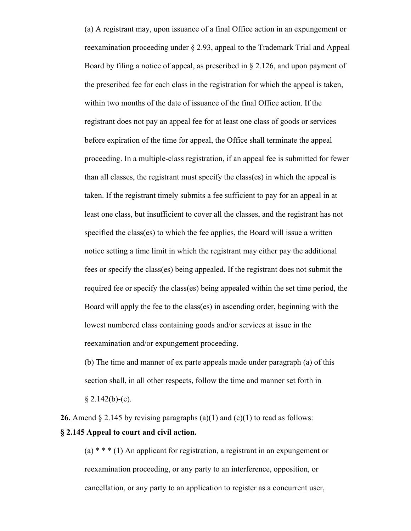(a) A registrant may, upon issuance of a final Office action in an expungement or reexamination proceeding under § 2.93, appeal to the Trademark Trial and Appeal Board by filing a notice of appeal, as prescribed in  $\S 2.126$ , and upon payment of the prescribed fee for each class in the registration for which the appeal is taken, within two months of the date of issuance of the final Office action. If the registrant does not pay an appeal fee for at least one class of goods or services before expiration of the time for appeal, the Office shall terminate the appeal proceeding. In a multiple-class registration, if an appeal fee is submitted for fewer than all classes, the registrant must specify the class(es) in which the appeal is taken. If the registrant timely submits a fee sufficient to pay for an appeal in at least one class, but insufficient to cover all the classes, and the registrant has not specified the class(es) to which the fee applies, the Board will issue a written notice setting a time limit in which the registrant may either pay the additional fees or specify the class(es) being appealed. If the registrant does not submit the required fee or specify the class(es) being appealed within the set time period, the Board will apply the fee to the class(es) in ascending order, beginning with the lowest numbered class containing goods and/or services at issue in the reexamination and/or expungement proceeding.

(b) The time and manner of ex parte appeals made under paragraph (a) of this section shall, in all other respects, follow the time and manner set forth in  $§$  2.142(b)-(e).

**26.** Amend  $\S 2.145$  by revising paragraphs (a)(1) and (c)(1) to read as follows: **§ 2.145 Appeal to court and civil action.**

 $(a)$  \* \* \* (1) An applicant for registration, a registrant in an expungement or reexamination proceeding, or any party to an interference, opposition, or cancellation, or any party to an application to register as a concurrent user,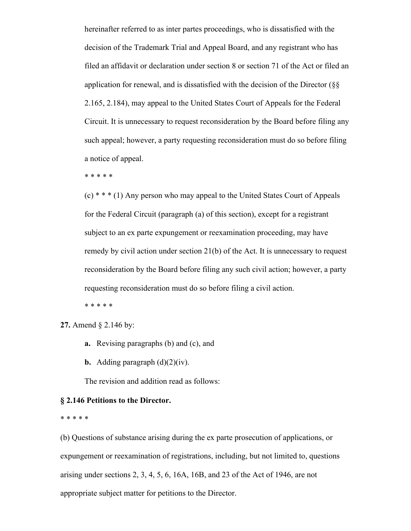hereinafter referred to as inter partes proceedings, who is dissatisfied with the decision of the Trademark Trial and Appeal Board, and any registrant who has filed an affidavit or declaration under section 8 or section 71 of the Act or filed an application for renewal, and is dissatisfied with the decision of the Director (§§ 2.165, 2.184), may appeal to the United States Court of Appeals for the Federal Circuit. It is unnecessary to request reconsideration by the Board before filing any such appeal; however, a party requesting reconsideration must do so before filing a notice of appeal.

\* \* \* \* \*

(c) \* \* \* (1) Any person who may appeal to the United States Court of Appeals for the Federal Circuit (paragraph (a) of this section), except for a registrant subject to an ex parte expungement or reexamination proceeding, may have remedy by civil action under section 21(b) of the Act. It is unnecessary to request reconsideration by the Board before filing any such civil action; however, a party requesting reconsideration must do so before filing a civil action.

\* \* \* \* \*

**27.** Amend § 2.146 by:

- **a.** Revising paragraphs (b) and (c), and
- **b.** Adding paragraph  $(d)(2)(iv)$ .

The revision and addition read as follows:

#### **§ 2.146 Petitions to the Director.**

#### \* \* \* \* \*

(b) Questions of substance arising during the ex parte prosecution of applications, or expungement or reexamination of registrations, including, but not limited to, questions arising under sections 2, 3, 4, 5, 6, 16A, 16B, and 23 of the Act of 1946, are not appropriate subject matter for petitions to the Director.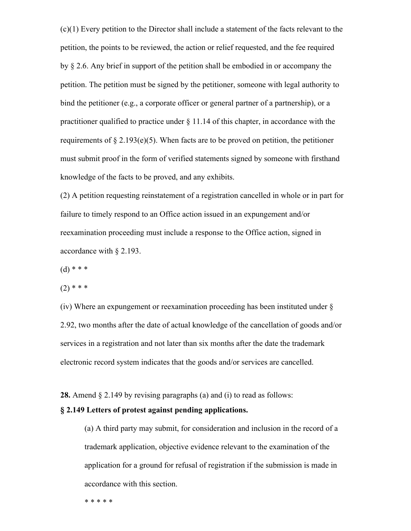(c)(1) Every petition to the Director shall include a statement of the facts relevant to the petition, the points to be reviewed, the action or relief requested, and the fee required by § 2.6. Any brief in support of the petition shall be embodied in or accompany the petition. The petition must be signed by the petitioner, someone with legal authority to bind the petitioner (e.g., a corporate officer or general partner of a partnership), or a practitioner qualified to practice under  $\S 11.14$  of this chapter, in accordance with the requirements of  $\S 2.193(e)(5)$ . When facts are to be proved on petition, the petitioner must submit proof in the form of verified statements signed by someone with firsthand knowledge of the facts to be proved, and any exhibits.

(2) A petition requesting reinstatement of a registration cancelled in whole or in part for failure to timely respond to an Office action issued in an expungement and/or reexamination proceeding must include a response to the Office action, signed in accordance with § 2.193.

 $(d)$  \* \* \*

 $(2)$  \* \* \*

(iv) Where an expungement or reexamination proceeding has been instituted under § 2.92, two months after the date of actual knowledge of the cancellation of goods and/or services in a registration and not later than six months after the date the trademark electronic record system indicates that the goods and/or services are cancelled.

**28.** Amend § 2.149 by revising paragraphs (a) and (i) to read as follows:

### **§ 2.149 Letters of protest against pending applications.**

(a) A third party may submit, for consideration and inclusion in the record of a trademark application, objective evidence relevant to the examination of the application for a ground for refusal of registration if the submission is made in accordance with this section.

\* \* \* \* \*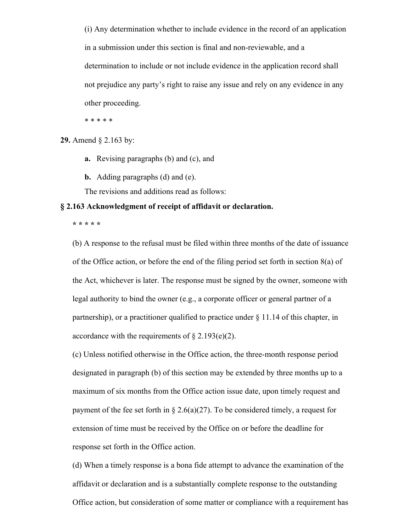(i) Any determination whether to include evidence in the record of an application in a submission under this section is final and non-reviewable, and a determination to include or not include evidence in the application record shall not prejudice any party's right to raise any issue and rely on any evidence in any other proceeding.

\* \* \* \* \*

**29.** Amend § 2.163 by:

**a.** Revising paragraphs (b) and (c), and

**b.** Adding paragraphs (d) and (e).

The revisions and additions read as follows:

#### **§ 2.163 Acknowledgment of receipt of affidavit or declaration.**

**\* \* \* \* \***

(b) A response to the refusal must be filed within three months of the date of issuance of the Office action, or before the end of the filing period set forth in section 8(a) of the Act, whichever is later. The response must be signed by the owner, someone with legal authority to bind the owner (e.g., a corporate officer or general partner of a partnership), or a practitioner qualified to practice under  $\S 11.14$  of this chapter, in accordance with the requirements of  $\S 2.193(e)(2)$ .

(c) Unless notified otherwise in the Office action, the three-month response period designated in paragraph (b) of this section may be extended by three months up to a maximum of six months from the Office action issue date, upon timely request and payment of the fee set forth in § 2.6(a)(27). To be considered timely, a request for extension of time must be received by the Office on or before the deadline for response set forth in the Office action.

(d) When a timely response is a bona fide attempt to advance the examination of the affidavit or declaration and is a substantially complete response to the outstanding Office action, but consideration of some matter or compliance with a requirement has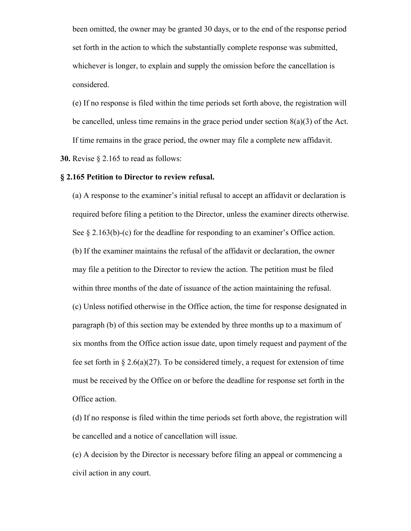been omitted, the owner may be granted 30 days, or to the end of the response period set forth in the action to which the substantially complete response was submitted, whichever is longer, to explain and supply the omission before the cancellation is considered.

(e) If no response is filed within the time periods set forth above, the registration will be cancelled, unless time remains in the grace period under section  $8(a)(3)$  of the Act. If time remains in the grace period, the owner may file a complete new affidavit.

**30.** Revise § 2.165 to read as follows:

#### **§ 2.165 Petition to Director to review refusal.**

(a) A response to the examiner's initial refusal to accept an affidavit or declaration is required before filing a petition to the Director, unless the examiner directs otherwise. See  $\S 2.163(b)-(c)$  for the deadline for responding to an examiner's Office action. (b) If the examiner maintains the refusal of the affidavit or declaration, the owner may file a petition to the Director to review the action. The petition must be filed within three months of the date of issuance of the action maintaining the refusal. (c) Unless notified otherwise in the Office action, the time for response designated in paragraph (b) of this section may be extended by three months up to a maximum of six months from the Office action issue date, upon timely request and payment of the fee set forth in  $\S 2.6(a)(27)$ . To be considered timely, a request for extension of time must be received by the Office on or before the deadline for response set forth in the Office action.

(d) If no response is filed within the time periods set forth above, the registration will be cancelled and a notice of cancellation will issue.

(e) A decision by the Director is necessary before filing an appeal or commencing a civil action in any court.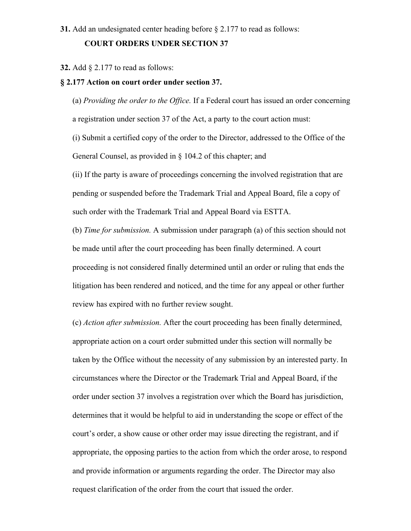#### **COURT ORDERS UNDER SECTION 37**

#### **32.** Add § 2.177 to read as follows:

#### **§ 2.177 Action on court order under section 37.**

(a) *Providing the order to the Office.* If a Federal court has issued an order concerning a registration under section 37 of the Act, a party to the court action must:

(i) Submit a certified copy of the order to the Director, addressed to the Office of the General Counsel, as provided in § 104.2 of this chapter; and

(ii) If the party is aware of proceedings concerning the involved registration that are pending or suspended before the Trademark Trial and Appeal Board, file a copy of such order with the Trademark Trial and Appeal Board via ESTTA.

(b) *Time for submission.* A submission under paragraph (a) of this section should not be made until after the court proceeding has been finally determined. A court proceeding is not considered finally determined until an order or ruling that ends the litigation has been rendered and noticed, and the time for any appeal or other further review has expired with no further review sought.

(c) *Action after submission.* After the court proceeding has been finally determined, appropriate action on a court order submitted under this section will normally be taken by the Office without the necessity of any submission by an interested party. In circumstances where the Director or the Trademark Trial and Appeal Board, if the order under section 37 involves a registration over which the Board has jurisdiction, determines that it would be helpful to aid in understanding the scope or effect of the court's order, a show cause or other order may issue directing the registrant, and if appropriate, the opposing parties to the action from which the order arose, to respond and provide information or arguments regarding the order. The Director may also request clarification of the order from the court that issued the order.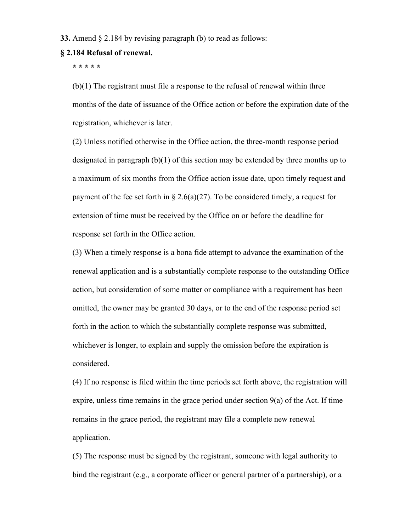#### **33.** Amend § 2.184 by revising paragraph (b) to read as follows:

#### **§ 2.184 Refusal of renewal.**

**\* \* \* \* \***

(b)(1) The registrant must file a response to the refusal of renewal within three months of the date of issuance of the Office action or before the expiration date of the registration, whichever is later.

(2) Unless notified otherwise in the Office action, the three-month response period designated in paragraph (b)(1) of this section may be extended by three months up to a maximum of six months from the Office action issue date, upon timely request and payment of the fee set forth in § 2.6(a)(27). To be considered timely, a request for extension of time must be received by the Office on or before the deadline for response set forth in the Office action.

(3) When a timely response is a bona fide attempt to advance the examination of the renewal application and is a substantially complete response to the outstanding Office action, but consideration of some matter or compliance with a requirement has been omitted, the owner may be granted 30 days, or to the end of the response period set forth in the action to which the substantially complete response was submitted, whichever is longer, to explain and supply the omission before the expiration is considered.

(4) If no response is filed within the time periods set forth above, the registration will expire, unless time remains in the grace period under section 9(a) of the Act. If time remains in the grace period, the registrant may file a complete new renewal application.

(5) The response must be signed by the registrant, someone with legal authority to bind the registrant (e.g., a corporate officer or general partner of a partnership), or a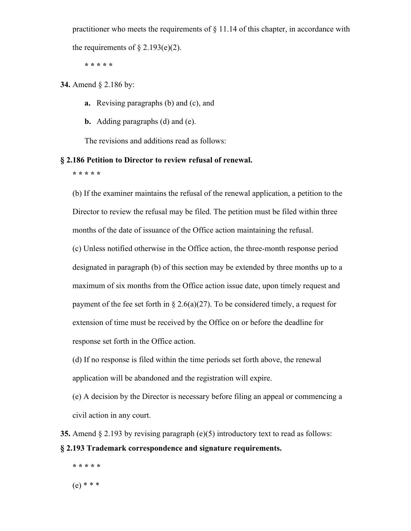practitioner who meets the requirements of  $\S$  11.14 of this chapter, in accordance with

the requirements of  $\S 2.193(e)(2)$ .

**\* \* \* \* \***

**34.** Amend § 2.186 by:

- **a.** Revising paragraphs (b) and (c), and
- **b.** Adding paragraphs (d) and (e).

The revisions and additions read as follows:

## **§ 2.186 Petition to Director to review refusal of renewal.**

**\* \* \* \* \***

(b) If the examiner maintains the refusal of the renewal application, a petition to the Director to review the refusal may be filed. The petition must be filed within three months of the date of issuance of the Office action maintaining the refusal.

(c) Unless notified otherwise in the Office action, the three-month response period designated in paragraph (b) of this section may be extended by three months up to a maximum of six months from the Office action issue date, upon timely request and payment of the fee set forth in § 2.6(a)(27). To be considered timely, a request for extension of time must be received by the Office on or before the deadline for response set forth in the Office action.

(d) If no response is filed within the time periods set forth above, the renewal application will be abandoned and the registration will expire.

(e) A decision by the Director is necessary before filing an appeal or commencing a civil action in any court.

**35.** Amend § 2.193 by revising paragraph (e)(5) introductory text to read as follows: **§ 2.193 Trademark correspondence and signature requirements.**

**\* \* \* \* \*** (e) \* \* \*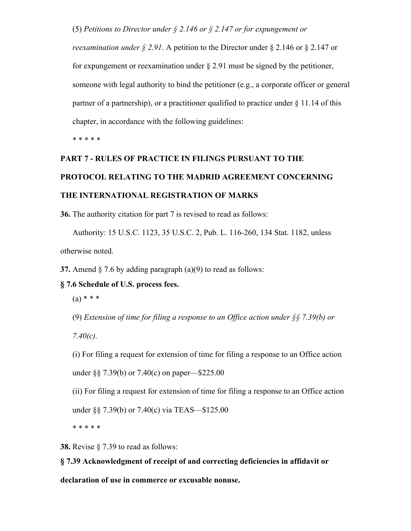(5) *Petitions to Director under § 2.146 or § 2.147 or for expungement or* 

*reexamination under § 2.91*. A petition to the Director under § 2.146 or § 2.147 or for expungement or reexamination under § 2.91 must be signed by the petitioner, someone with legal authority to bind the petitioner (e.g., a corporate officer or general partner of a partnership), or a practitioner qualified to practice under § 11.14 of this chapter, in accordance with the following guidelines:

\* \* \* \* \*

# **PART 7 - RULES OF PRACTICE IN FILINGS PURSUANT TO THE PROTOCOL RELATING TO THE MADRID AGREEMENT CONCERNING THE INTERNATIONAL REGISTRATION OF MARKS**

**36.** The authority citation for part 7 is revised to read as follows:

Authority: 15 U.S.C. 1123, 35 U.S.C. 2, Pub. L. 116-260, 134 Stat. 1182, unless otherwise noted.

**37.** Amend  $\S$  7.6 by adding paragraph (a)(9) to read as follows:

#### **§ 7.6 Schedule of U.S. process fees.**

 $(a) * * * *$ 

(9) *Extension of time for filing a response to an Office action under §§ 7.39(b) or* 

*7.40(c).*

(i) For filing a request for extension of time for filing a response to an Office action

under §§ 7.39(b) or 7.40(c) on paper—\$225.00

(ii) For filing a request for extension of time for filing a response to an Office action

under §§ 7.39(b) or 7.40(c) via TEAS—\$125.00

\* \* \* \* \*

**38.** Revise § 7.39 to read as follows:

**§ 7.39 Acknowledgment of receipt of and correcting deficiencies in affidavit or** 

**declaration of use in commerce or excusable nonuse.**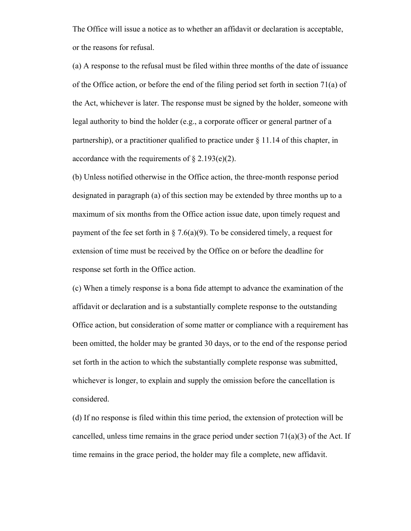The Office will issue a notice as to whether an affidavit or declaration is acceptable, or the reasons for refusal.

(a) A response to the refusal must be filed within three months of the date of issuance of the Office action, or before the end of the filing period set forth in section 71(a) of the Act, whichever is later. The response must be signed by the holder, someone with legal authority to bind the holder (e.g., a corporate officer or general partner of a partnership), or a practitioner qualified to practice under  $\S 11.14$  of this chapter, in accordance with the requirements of  $\S 2.193(e)(2)$ .

(b) Unless notified otherwise in the Office action, the three-month response period designated in paragraph (a) of this section may be extended by three months up to a maximum of six months from the Office action issue date, upon timely request and payment of the fee set forth in  $\S 7.6(a)(9)$ . To be considered timely, a request for extension of time must be received by the Office on or before the deadline for response set forth in the Office action.

(c) When a timely response is a bona fide attempt to advance the examination of the affidavit or declaration and is a substantially complete response to the outstanding Office action, but consideration of some matter or compliance with a requirement has been omitted, the holder may be granted 30 days, or to the end of the response period set forth in the action to which the substantially complete response was submitted, whichever is longer, to explain and supply the omission before the cancellation is considered.

(d) If no response is filed within this time period, the extension of protection will be cancelled, unless time remains in the grace period under section  $71(a)(3)$  of the Act. If time remains in the grace period, the holder may file a complete, new affidavit.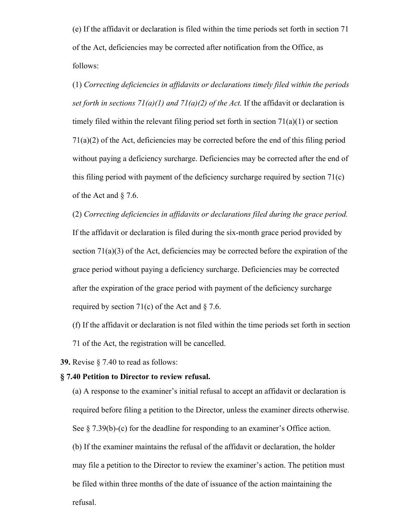(e) If the affidavit or declaration is filed within the time periods set forth in section 71 of the Act, deficiencies may be corrected after notification from the Office, as follows:

(1) *Correcting deficiencies in affidavits or declarations timely filed within the periods set forth in sections 71(a)(1) and 71(a)(2) of the Act.* If the affidavit or declaration is timely filed within the relevant filing period set forth in section 71(a)(1) or section 71(a)(2) of the Act, deficiencies may be corrected before the end of this filing period without paying a deficiency surcharge. Deficiencies may be corrected after the end of this filing period with payment of the deficiency surcharge required by section 71(c) of the Act and § 7.6.

(2) *Correcting deficiencies in affidavits or declarations filed during the grace period.* If the affidavit or declaration is filed during the six-month grace period provided by section  $71(a)(3)$  of the Act, deficiencies may be corrected before the expiration of the grace period without paying a deficiency surcharge. Deficiencies may be corrected after the expiration of the grace period with payment of the deficiency surcharge required by section 71(c) of the Act and  $\S$  7.6.

(f) If the affidavit or declaration is not filed within the time periods set forth in section 71 of the Act, the registration will be cancelled.

**39.** Revise § 7.40 to read as follows:

#### **§ 7.40 Petition to Director to review refusal.**

(a) A response to the examiner's initial refusal to accept an affidavit or declaration is required before filing a petition to the Director, unless the examiner directs otherwise. See  $\S 7.39(b)-(c)$  for the deadline for responding to an examiner's Office action. (b) If the examiner maintains the refusal of the affidavit or declaration, the holder may file a petition to the Director to review the examiner's action. The petition must be filed within three months of the date of issuance of the action maintaining the refusal.